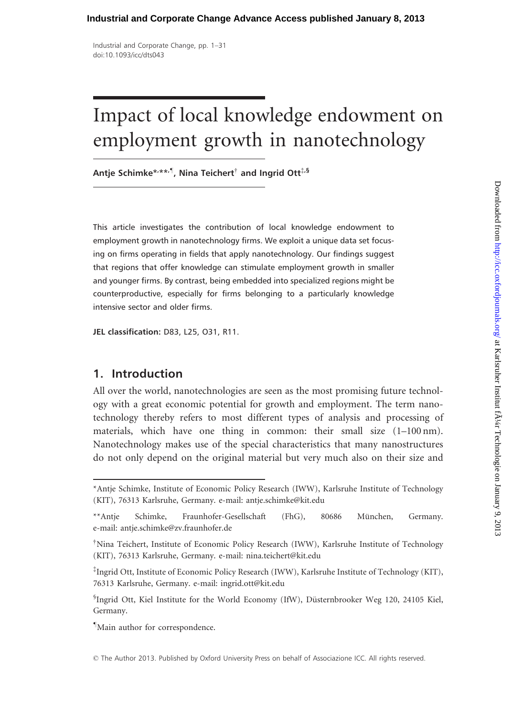Industrial and Corporate Change, pp. 1–31 doi:10.1093/icc/dts043

# Impact of local knowledge endowment on employment growth in nanotechnology

Antje Schimke $^{*,**},^{\P}$ , Nina Teichert $^{\dagger}$  and Ingrid Ott $^{\ddagger,\mathcal{S}}$ 

This article investigates the contribution of local knowledge endowment to employment growth in nanotechnology firms. We exploit a unique data set focusing on firms operating in fields that apply nanotechnology. Our findings suggest that regions that offer knowledge can stimulate employment growth in smaller and younger firms. By contrast, being embedded into specialized regions might be counterproductive, especially for firms belonging to a particularly knowledge intensive sector and older firms.

JEL classification: D83, L25, O31, R11.

# 1. Introduction

All over the world, nanotechnologies are seen as the most promising future technology with a great economic potential for growth and employment. The term nanotechnology thereby refers to most different types of analysis and processing of materials, which have one thing in common: their small size (1–100 nm). Nanotechnology makes use of the special characteristics that many nanostructures do not only depend on the original material but very much also on their size and

<sup>¶</sup>Main author for correspondence.

The Author 2013. Published by Oxford University Press on behalf of Associazione ICC. All rights reserved.

<sup>\*</sup>Antje Schimke, Institute of Economic Policy Research (IWW), Karlsruhe Institute of Technology (KIT), 76313 Karlsruhe, Germany. e-mail: antje.schimke@kit.edu

<sup>\*\*</sup>Antie Schimke, Fraunhofer-Gesellschaft (FhG), 80686 München, Germany. e-mail: antje.schimke@zv.fraunhofer.de

<sup>&</sup>lt;sup>†</sup>Nina Teichert, Institute of Economic Policy Research (IWW), Karlsruhe Institute of Technology (KIT), 76313 Karlsruhe, Germany. e-mail: nina.teichert@kit.edu

 $^{\ddagger}$ Ingrid Ott, Institute of Economic Policy Research (IWW), Karlsruhe Institute of Technology (KIT), 76313 Karlsruhe, Germany. e-mail: ingrid.ott@kit.edu

<sup>&</sup>lt;sup>§</sup>Ingrid Ott, Kiel Institute for the World Economy (IfW), Düsternbrooker Weg 120, 24105 Kiel, Germany.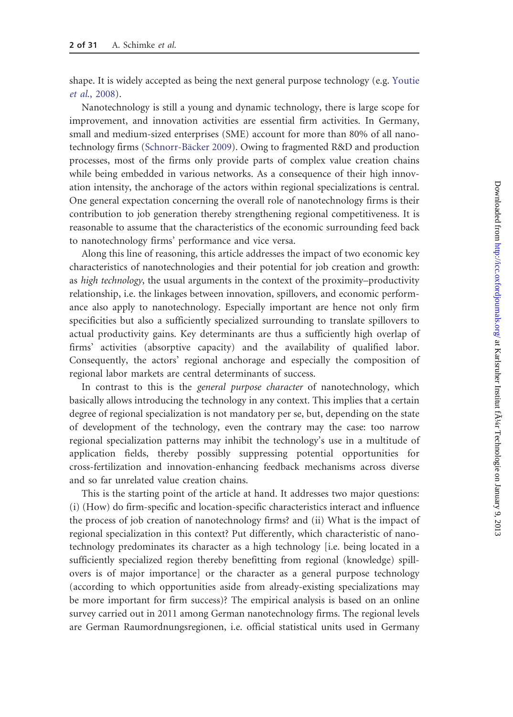shape. It is widely accepted as being the next general purpose technology (e.g. [Youtie](#page-27-0) [et al](#page-27-0)[., 2008](#page-27-0)).

Nanotechnology is still a young and dynamic technology, there is large scope for improvement, and innovation activities are essential firm activities. In Germany, small and medium-sized enterprises (SME) account for more than 80% of all nanotechnology firms (Schnorr-Bäcker 2009). Owing to fragmented R&D and production processes, most of the firms only provide parts of complex value creation chains while being embedded in various networks. As a consequence of their high innovation intensity, the anchorage of the actors within regional specializations is central. One general expectation concerning the overall role of nanotechnology firms is their contribution to job generation thereby strengthening regional competitiveness. It is reasonable to assume that the characteristics of the economic surrounding feed back to nanotechnology firms' performance and vice versa.

Along this line of reasoning, this article addresses the impact of two economic key characteristics of nanotechnologies and their potential for job creation and growth: as high technology, the usual arguments in the context of the proximity–productivity relationship, i.e. the linkages between innovation, spillovers, and economic performance also apply to nanotechnology. Especially important are hence not only firm specificities but also a sufficiently specialized surrounding to translate spillovers to actual productivity gains. Key determinants are thus a sufficiently high overlap of firms' activities (absorptive capacity) and the availability of qualified labor. Consequently, the actors' regional anchorage and especially the composition of regional labor markets are central determinants of success.

In contrast to this is the general purpose character of nanotechnology, which basically allows introducing the technology in any context. This implies that a certain degree of regional specialization is not mandatory per se, but, depending on the state of development of the technology, even the contrary may the case: too narrow regional specialization patterns may inhibit the technology's use in a multitude of application fields, thereby possibly suppressing potential opportunities for cross-fertilization and innovation-enhancing feedback mechanisms across diverse and so far unrelated value creation chains.

This is the starting point of the article at hand. It addresses two major questions: (i) (How) do firm-specific and location-specific characteristics interact and influence the process of job creation of nanotechnology firms? and (ii) What is the impact of regional specialization in this context? Put differently, which characteristic of nanotechnology predominates its character as a high technology [i.e. being located in a sufficiently specialized region thereby benefitting from regional (knowledge) spillovers is of major importance] or the character as a general purpose technology (according to which opportunities aside from already-existing specializations may be more important for firm success)? The empirical analysis is based on an online survey carried out in 2011 among German nanotechnology firms. The regional levels are German Raumordnungsregionen, i.e. official statistical units used in Germany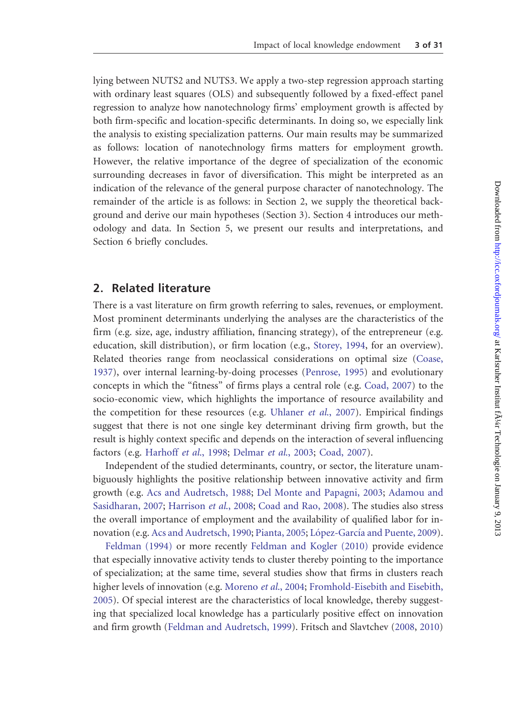lying between NUTS2 and NUTS3. We apply a two-step regression approach starting with ordinary least squares (OLS) and subsequently followed by a fixed-effect panel regression to analyze how nanotechnology firms' employment growth is affected by both firm-specific and location-specific determinants. In doing so, we especially link the analysis to existing specialization patterns. Our main results may be summarized as follows: location of nanotechnology firms matters for employment growth. However, the relative importance of the degree of specialization of the economic surrounding decreases in favor of diversification. This might be interpreted as an indication of the relevance of the general purpose character of nanotechnology. The remainder of the article is as follows: in Section 2, we supply the theoretical background and derive our main hypotheses (Section 3). Section 4 introduces our methodology and data. In Section 5, we present our results and interpretations, and Section 6 briefly concludes.

# 2. Related literature

There is a vast literature on firm growth referring to sales, revenues, or employment. Most prominent determinants underlying the analyses are the characteristics of the firm (e.g. size, age, industry affiliation, financing strategy), of the entrepreneur (e.g. education, skill distribution), or firm location (e.g., [Storey, 1994](#page-27-0), for an overview). Related theories range from neoclassical considerations on optimal size [\(Coase,](#page-25-0) [1937\)](#page-25-0), over internal learning-by-doing processes [\(Penrose, 1995](#page-27-0)) and evolutionary concepts in which the "fitness" of firms plays a central role (e.g. [Coad, 2007\)](#page-25-0) to the socio-economic view, which highlights the importance of resource availability and the competition for these resources (e.g. [Uhlaner](#page-27-0) *et al.*, 2007). Empirical findings suggest that there is not one single key determinant driving firm growth, but the result is highly context specific and depends on the interaction of several influencing factors (e.g. [Harhoff](#page-26-0) et al[., 1998](#page-26-0); [Delmar](#page-25-0) et al[., 2003](#page-25-0); [Coad, 2007\)](#page-25-0).

Independent of the studied determinants, country, or sector, the literature unambiguously highlights the positive relationship between innovative activity and firm growth (e.g. [Acs and Audretsch, 1988](#page-25-0); [Del Monte and Papagni, 2003;](#page-25-0) [Adamou and](#page-25-0) [Sasidharan, 2007;](#page-25-0) [Harrison](#page-26-0) et al[., 2008](#page-26-0); [Coad and Rao, 2008\)](#page-25-0). The studies also stress the overall importance of employment and the availability of qualified labor for in-novation (e.g. [Acs and Audretsch, 1990;](#page-25-0) [Pianta, 2005;](#page-27-0) López-García and Puente, 2009).

[Feldman \(1994\)](#page-25-0) or more recently [Feldman and Kogler \(2010\)](#page-26-0) provide evidence that especially innovative activity tends to cluster thereby pointing to the importance of specialization; at the same time, several studies show that firms in clusters reach higher levels of innovation (e.g. [Moreno](#page-27-0) et al[., 2004](#page-27-0); [Fromhold-Eisebith and Eisebith,](#page-26-0) [2005\)](#page-26-0). Of special interest are the characteristics of local knowledge, thereby suggesting that specialized local knowledge has a particularly positive effect on innovation and firm growth [\(Feldman and Audretsch, 1999\)](#page-26-0). Fritsch and Slavtchev [\(2008](#page-26-0), [2010\)](#page-26-0)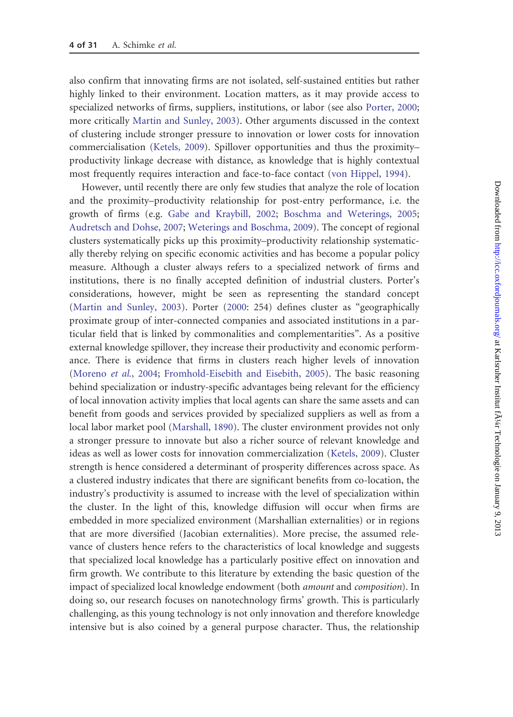also confirm that innovating firms are not isolated, self-sustained entities but rather highly linked to their environment. Location matters, as it may provide access to specialized networks of firms, suppliers, institutions, or labor (see also [Porter, 2000;](#page-27-0) more critically [Martin and Sunley, 2003\)](#page-27-0). Other arguments discussed in the context of clustering include stronger pressure to innovation or lower costs for innovation commercialisation [\(Ketels, 2009\)](#page-26-0). Spillover opportunities and thus the proximity– productivity linkage decrease with distance, as knowledge that is highly contextual most frequently requires interaction and face-to-face contact ([von Hippel, 1994\)](#page-27-0).

However, until recently there are only few studies that analyze the role of location and the proximity–productivity relationship for post-entry performance, i.e. the growth of firms (e.g. [Gabe and Kraybill, 2002](#page-26-0); [Boschma and Weterings, 2005;](#page-25-0) [Audretsch and Dohse, 2007](#page-25-0); [Weterings and Boschma, 2009](#page-27-0)). The concept of regional clusters systematically picks up this proximity–productivity relationship systematically thereby relying on specific economic activities and has become a popular policy measure. Although a cluster always refers to a specialized network of firms and institutions, there is no finally accepted definition of industrial clusters. Porter's considerations, however, might be seen as representing the standard concept [\(Martin and Sunley, 2003](#page-27-0)). Porter ([2000:](#page-27-0) 254) defines cluster as "geographically proximate group of inter-connected companies and associated institutions in a particular Eeld that is linked by commonalities and complementarities". As a positive external knowledge spillover, they increase their productivity and economic performance. There is evidence that firms in clusters reach higher levels of innovation [\(Moreno](#page-27-0) et al[., 2004](#page-27-0); [Fromhold-Eisebith and Eisebith, 2005](#page-26-0)). The basic reasoning behind specialization or industry-specific advantages being relevant for the efficiency of local innovation activity implies that local agents can share the same assets and can benefit from goods and services provided by specialized suppliers as well as from a local labor market pool ([Marshall, 1890\)](#page-27-0). The cluster environment provides not only a stronger pressure to innovate but also a richer source of relevant knowledge and ideas as well as lower costs for innovation commercialization ([Ketels, 2009](#page-26-0)). Cluster strength is hence considered a determinant of prosperity differences across space. As a clustered industry indicates that there are significant benefits from co-location, the industry's productivity is assumed to increase with the level of specialization within the cluster. In the light of this, knowledge diffusion will occur when firms are embedded in more specialized environment (Marshallian externalities) or in regions that are more diversified (Jacobian externalities). More precise, the assumed relevance of clusters hence refers to the characteristics of local knowledge and suggests that specialized local knowledge has a particularly positive effect on innovation and firm growth. We contribute to this literature by extending the basic question of the impact of specialized local knowledge endowment (both amount and composition). In doing so, our research focuses on nanotechnology firms' growth. This is particularly challenging, as this young technology is not only innovation and therefore knowledge intensive but is also coined by a general purpose character. Thus, the relationship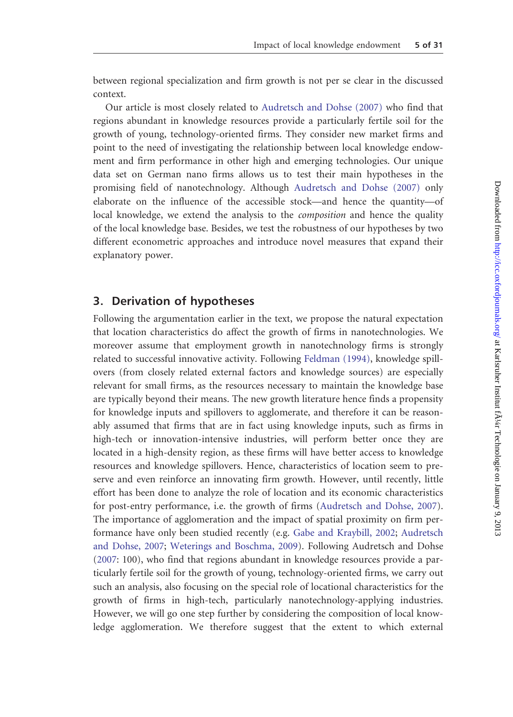between regional specialization and firm growth is not per se clear in the discussed context.

Our article is most closely related to [Audretsch and Dohse \(2007\)](#page-25-0) who find that regions abundant in knowledge resources provide a particularly fertile soil for the growth of young, technology-oriented firms. They consider new market firms and point to the need of investigating the relationship between local knowledge endowment and firm performance in other high and emerging technologies. Our unique data set on German nano firms allows us to test their main hypotheses in the promising field of nanotechnology. Although [Audretsch and Dohse \(2007\)](#page-25-0) only elaborate on the influence of the accessible stock—and hence the quantity—of local knowledge, we extend the analysis to the composition and hence the quality of the local knowledge base. Besides, we test the robustness of our hypotheses by two different econometric approaches and introduce novel measures that expand their explanatory power.

# 3. Derivation of hypotheses

Following the argumentation earlier in the text, we propose the natural expectation that location characteristics do affect the growth of firms in nanotechnologies. We moreover assume that employment growth in nanotechnology firms is strongly related to successful innovative activity. Following [Feldman \(1994\)](#page-25-0), knowledge spillovers (from closely related external factors and knowledge sources) are especially relevant for small firms, as the resources necessary to maintain the knowledge base are typically beyond their means. The new growth literature hence finds a propensity for knowledge inputs and spillovers to agglomerate, and therefore it can be reasonably assumed that firms that are in fact using knowledge inputs, such as firms in high-tech or innovation-intensive industries, will perform better once they are located in a high-density region, as these firms will have better access to knowledge resources and knowledge spillovers. Hence, characteristics of location seem to preserve and even reinforce an innovating firm growth. However, until recently, little effort has been done to analyze the role of location and its economic characteristics for post-entry performance, i.e. the growth of firms ([Audretsch and Dohse, 2007](#page-25-0)). The importance of agglomeration and the impact of spatial proximity on firm performance have only been studied recently (e.g. [Gabe and Kraybill, 2002;](#page-26-0) [Audretsch](#page-25-0) [and Dohse, 2007;](#page-25-0) [Weterings and Boschma, 2009\)](#page-27-0). Following Audretsch and Dohse [\(2007](#page-25-0): 100), who find that regions abundant in knowledge resources provide a particularly fertile soil for the growth of young, technology-oriented firms, we carry out such an analysis, also focusing on the special role of locational characteristics for the growth of firms in high-tech, particularly nanotechnology-applying industries. However, we will go one step further by considering the composition of local knowledge agglomeration. We therefore suggest that the extent to which external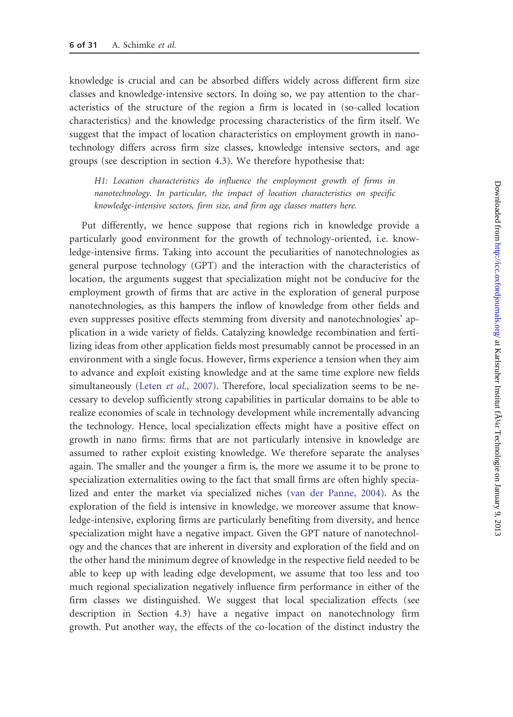knowledge is crucial and can be absorbed differs widely across different firm size classes and knowledge-intensive sectors. In doing so, we pay attention to the characteristics of the structure of the region a firm is located in (so-called location characteristics) and the knowledge processing characteristics of the firm itself. We suggest that the impact of location characteristics on employment growth in nanotechnology differs across firm size classes, knowledge intensive sectors, and age groups (see description in section 4.3). We therefore hypothesise that:

H1: Location characteristics do influence the employment growth of firms in nanotechnology. In particular, the impact of location characteristics on specific knowledge-intensive sectors, firm size, and firm age classes matters here.

Put differently, we hence suppose that regions rich in knowledge provide a particularly good environment for the growth of technology-oriented, i.e. knowledge-intensive firms. Taking into account the peculiarities of nanotechnologies as general purpose technology (GPT) and the interaction with the characteristics of location, the arguments suggest that specialization might not be conducive for the employment growth of firms that are active in the exploration of general purpose nanotechnologies, as this hampers the inflow of knowledge from other fields and even suppresses positive effects stemming from diversity and nanotechnologies' application in a wide variety of fields. Catalyzing knowledge recombination and fertilizing ideas from other application fields most presumably cannot be processed in an environment with a single focus. However, firms experience a tension when they aim to advance and exploit existing knowledge and at the same time explore new fields simultaneously [\(Leten](#page-26-0) *et al.*, 2007). Therefore, local specialization seems to be necessary to develop sufficiently strong capabilities in particular domains to be able to realize economies of scale in technology development while incrementally advancing the technology. Hence, local specialization effects might have a positive effect on growth in nano firms: firms that are not particularly intensive in knowledge are assumed to rather exploit existing knowledge. We therefore separate the analyses again. The smaller and the younger a firm is, the more we assume it to be prone to specialization externalities owing to the fact that small firms are often highly specialized and enter the market via specialized niches ([van der Panne, 2004](#page-27-0)). As the exploration of the field is intensive in knowledge, we moreover assume that knowledge-intensive, exploring firms are particularly benefiting from diversity, and hence specialization might have a negative impact. Given the GPT nature of nanotechnology and the chances that are inherent in diversity and exploration of the field and on the other hand the minimum degree of knowledge in the respective field needed to be able to keep up with leading edge development, we assume that too less and too much regional specialization negatively influence firm performance in either of the firm classes we distinguished. We suggest that local specialization effects (see description in Section 4.3) have a negative impact on nanotechnology firm growth. Put another way, the effects of the co-location of the distinct industry the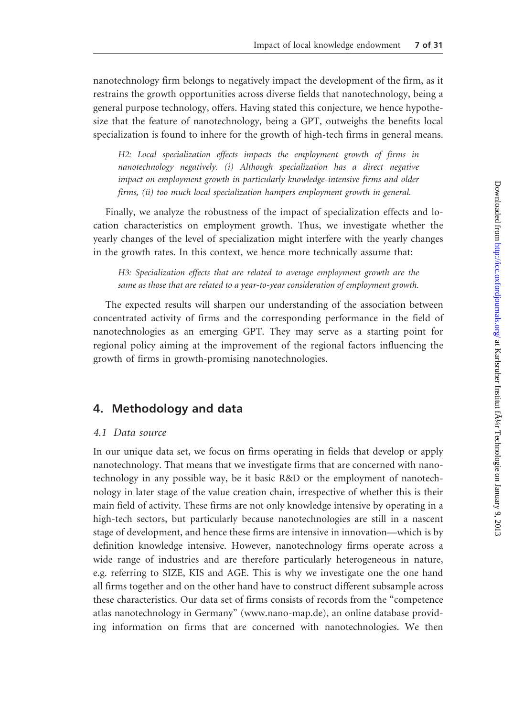nanotechnology firm belongs to negatively impact the development of the firm, as it restrains the growth opportunities across diverse fields that nanotechnology, being a general purpose technology, offers. Having stated this conjecture, we hence hypothesize that the feature of nanotechnology, being a GPT, outweighs the benefits local specialization is found to inhere for the growth of high-tech firms in general means.

H2: Local specialization effects impacts the employment growth of firms in nanotechnology negatively. (i) Although specialization has a direct negative impact on employment growth in particularly knowledge-intensive firms and older firms, (ii) too much local specialization hampers employment growth in general.

Finally, we analyze the robustness of the impact of specialization effects and location characteristics on employment growth. Thus, we investigate whether the yearly changes of the level of specialization might interfere with the yearly changes in the growth rates. In this context, we hence more technically assume that:

H3: Specialization effects that are related to average employment growth are the same as those that are related to a year-to-year consideration of employment growth.

The expected results will sharpen our understanding of the association between concentrated activity of firms and the corresponding performance in the field of nanotechnologies as an emerging GPT. They may serve as a starting point for regional policy aiming at the improvement of the regional factors influencing the growth of firms in growth-promising nanotechnologies.

# 4. Methodology and data

#### 4.1 Data source

In our unique data set, we focus on firms operating in fields that develop or apply nanotechnology. That means that we investigate firms that are concerned with nanotechnology in any possible way, be it basic R&D or the employment of nanotechnology in later stage of the value creation chain, irrespective of whether this is their main field of activity. These firms are not only knowledge intensive by operating in a high-tech sectors, but particularly because nanotechnologies are still in a nascent stage of development, and hence these firms are intensive in innovation—which is by definition knowledge intensive. However, nanotechnology firms operate across a wide range of industries and are therefore particularly heterogeneous in nature, e.g. referring to SIZE, KIS and AGE. This is why we investigate one the one hand all firms together and on the other hand have to construct different subsample across these characteristics. Our data set of firms consists of records from the "competence atlas nanotechnology in Germany" ([www.nano-map.de\)](www.nano-map.de), an online database providing information on firms that are concerned with nanotechnologies. We then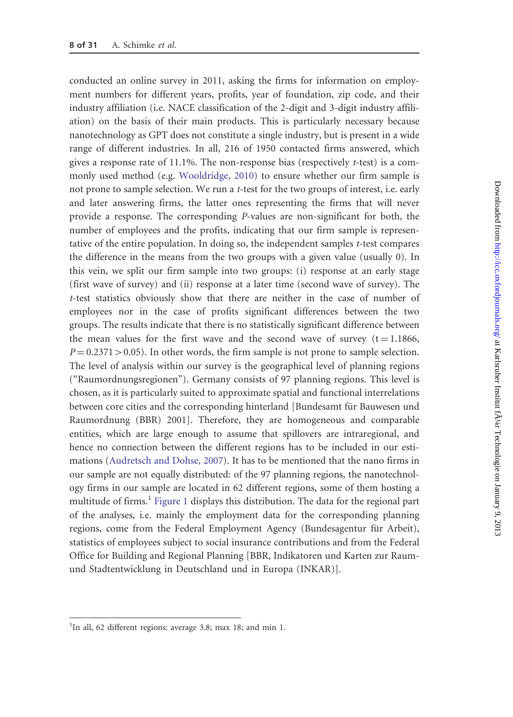conducted an online survey in 2011, asking the firms for information on employment numbers for different years, profits, year of foundation, zip code, and their industry affiliation (i.e. NACE classification of the 2-digit and 3-digit industry affiliation) on the basis of their main products. This is particularly necessary because nanotechnology as GPT does not constitute a single industry, but is present in a wide range of different industries. In all, 216 of 1950 contacted firms answered, which gives a response rate of 11.1%. The non-response bias (respectively t-test) is a commonly used method (e.g. [Wooldridge, 2010](#page-27-0)) to ensure whether our firm sample is not prone to sample selection. We run a t-test for the two groups of interest, i.e. early and later answering firms, the latter ones representing the firms that will never provide a response. The corresponding P-values are non-significant for both, the number of employees and the profits, indicating that our firm sample is representative of the entire population. In doing so, the independent samples t-test compares the difference in the means from the two groups with a given value (usually 0). In this vein, we split our firm sample into two groups: (i) response at an early stage (first wave of survey) and (ii) response at a later time (second wave of survey). The t-test statistics obviously show that there are neither in the case of number of employees nor in the case of profits significant differences between the two groups. The results indicate that there is no statistically significant difference between the mean values for the first wave and the second wave of survey  $(t = 1.1866$ ,  $P = 0.2371 > 0.05$ ). In other words, the firm sample is not prone to sample selection. The level of analysis within our survey is the geographical level of planning regions ("Raumordnungsregionen"). Germany consists of 97 planning regions. This level is chosen, as it is particularly suited to approximate spatial and functional interrelations between core cities and the corresponding hinterland [Bundesamt für Bauwesen und Raumordnung (BBR) 2001]. Therefore, they are homogeneous and comparable entities, which are large enough to assume that spillovers are intraregional, and hence no connection between the different regions has to be included in our estimations [\(Audretsch and Dohse, 2007](#page-25-0)). It has to be mentioned that the nano firms in our sample are not equally distributed: of the 97 planning regions, the nanotechnology firms in our sample are located in 62 different regions, some of them hosting a multitude of firms.<sup>1</sup> [Figure 1](#page-8-0) displays this distribution. The data for the regional part of the analyses, i.e. mainly the employment data for the corresponding planning regions, come from the Federal Employment Agency (Bundesagentur für Arbeit), statistics of employees subject to social insurance contributions and from the Federal Office for Building and Regional Planning [BBR, Indikatoren und Karten zur Raumund Stadtentwicklung in Deutschland und in Europa (INKAR)].

<sup>&</sup>lt;sup>1</sup>In all, 62 different regions: average 3.8; max 18; and min 1.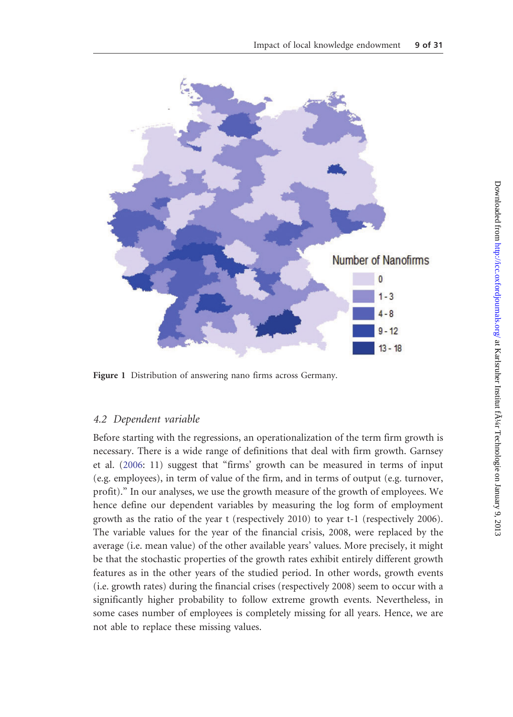<span id="page-8-0"></span>

Figure 1 Distribution of answering nano firms across Germany.

# 4.2 Dependent variable

Before starting with the regressions, an operationalization of the term firm growth is necessary. There is a wide range of definitions that deal with firm growth. Garnsey et al. ([2006:](#page-26-0) 11) suggest that "firms' growth can be measured in terms of input (e.g. employees), in term of value of the firm, and in terms of output (e.g. turnover, profit)." In our analyses, we use the growth measure of the growth of employees. We hence define our dependent variables by measuring the log form of employment growth as the ratio of the year t (respectively 2010) to year t-1 (respectively 2006). The variable values for the year of the financial crisis, 2008, were replaced by the average (i.e. mean value) of the other available years' values. More precisely, it might be that the stochastic properties of the growth rates exhibit entirely different growth features as in the other years of the studied period. In other words, growth events (i.e. growth rates) during the financial crises (respectively 2008) seem to occur with a significantly higher probability to follow extreme growth events. Nevertheless, in some cases number of employees is completely missing for all years. Hence, we are not able to replace these missing values.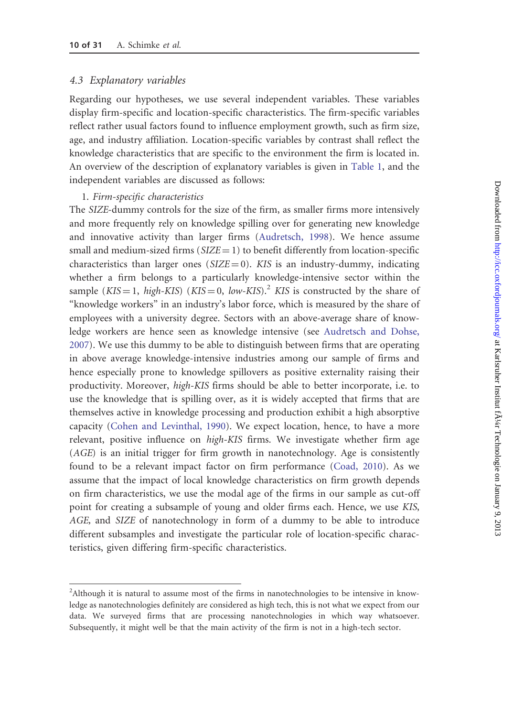#### 4.3 Explanatory variables

Regarding our hypotheses, we use several independent variables. These variables display firm-specific and location-specific characteristics. The firm-specific variables reflect rather usual factors found to influence employment growth, such as firm size, age, and industry affiliation. Location-specific variables by contrast shall reflect the knowledge characteristics that are specific to the environment the firm is located in. An overview of the description of explanatory variables is given in [Table 1,](#page-10-0) and the independent variables are discussed as follows:

#### 1. Firm-specific characteristics

The SIZE-dummy controls for the size of the firm, as smaller firms more intensively and more frequently rely on knowledge spilling over for generating new knowledge and innovative activity than larger firms [\(Audretsch, 1998\)](#page-25-0). We hence assume small and medium-sized firms ( $SIZE = 1$ ) to benefit differently from location-specific characteristics than larger ones ( $SIZE = 0$ ). KIS is an industry-dummy, indicating whether a firm belongs to a particularly knowledge-intensive sector within the sample (KIS = 1, high-KIS) (KIS = 0, low-KIS).<sup>2</sup> KIS is constructed by the share of "knowledge workers" in an industry's labor force, which is measured by the share of employees with a university degree. Sectors with an above-average share of knowledge workers are hence seen as knowledge intensive (see [Audretsch and Dohse,](#page-25-0) [2007\)](#page-25-0). We use this dummy to be able to distinguish between firms that are operating in above average knowledge-intensive industries among our sample of firms and hence especially prone to knowledge spillovers as positive externality raising their productivity. Moreover, high-KIS firms should be able to better incorporate, i.e. to use the knowledge that is spilling over, as it is widely accepted that firms that are themselves active in knowledge processing and production exhibit a high absorptive capacity ([Cohen and Levinthal, 1990\)](#page-25-0). We expect location, hence, to have a more relevant, positive influence on high-KIS firms. We investigate whether firm age (AGE) is an initial trigger for firm growth in nanotechnology. Age is consistently found to be a relevant impact factor on firm performance ([Coad, 2010](#page-25-0)). As we assume that the impact of local knowledge characteristics on firm growth depends on firm characteristics, we use the modal age of the firms in our sample as cut-off point for creating a subsample of young and older firms each. Hence, we use KIS, AGE, and SIZE of nanotechnology in form of a dummy to be able to introduce different subsamples and investigate the particular role of location-specific characteristics, given differing firm-specific characteristics.

<sup>&</sup>lt;sup>2</sup>Although it is natural to assume most of the firms in nanotechnologies to be intensive in knowledge as nanotechnologies definitely are considered as high tech, this is not what we expect from our data. We surveyed firms that are processing nanotechnologies in which way whatsoever. Subsequently, it might well be that the main activity of the firm is not in a high-tech sector.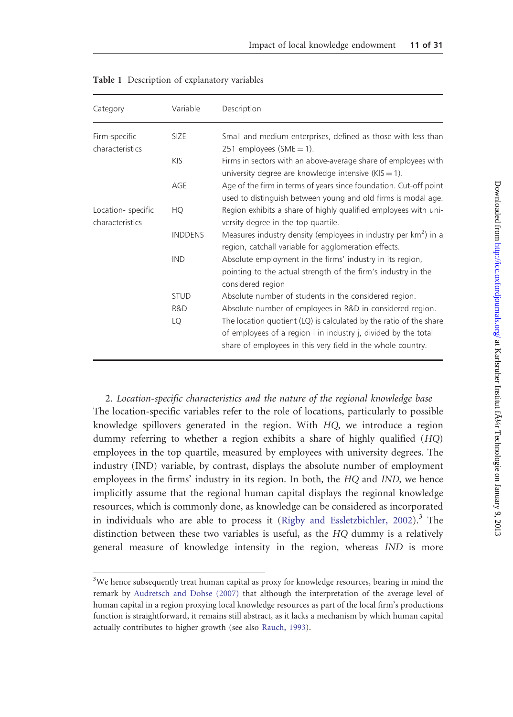| Category                              | Variable       | Description                                                                                                                                                                                                                                                      |
|---------------------------------------|----------------|------------------------------------------------------------------------------------------------------------------------------------------------------------------------------------------------------------------------------------------------------------------|
| Firm-specific<br>characteristics      | <b>SIZE</b>    | Small and medium enterprises, defined as those with less than<br>251 employees (SME = 1).                                                                                                                                                                        |
|                                       | <b>KIS</b>     | Firms in sectors with an above-average share of employees with<br>university degree are knowledge intensive $(KIS = 1)$ .                                                                                                                                        |
|                                       | AGE            | Age of the firm in terms of years since foundation. Cut-off point<br>used to distinguish between young and old firms is modal age.                                                                                                                               |
| Location- specific<br>characteristics | HQ             | Region exhibits a share of highly qualified employees with uni-<br>versity degree in the top quartile.                                                                                                                                                           |
|                                       | <b>INDDENS</b> | Measures industry density (employees in industry per $km2$ ) in a<br>region, catchall variable for agglomeration effects.                                                                                                                                        |
|                                       | <b>IND</b>     | Absolute employment in the firms' industry in its region,<br>pointing to the actual strength of the firm's industry in the<br>considered region                                                                                                                  |
|                                       | <b>STUD</b>    | Absolute number of students in the considered region.                                                                                                                                                                                                            |
|                                       | R&D<br>LQ      | Absolute number of employees in R&D in considered region.<br>The location quotient (LQ) is calculated by the ratio of the share<br>of employees of a region i in industry j, divided by the total<br>share of employees in this very field in the whole country. |

<span id="page-10-0"></span>Table 1 Description of explanatory variables

2. Location-specific characteristics and the nature of the regional knowledge base The location-specific variables refer to the role of locations, particularly to possible knowledge spillovers generated in the region. With HQ, we introduce a region dummy referring to whether a region exhibits a share of highly qualified (HQ) employees in the top quartile, measured by employees with university degrees. The industry (IND) variable, by contrast, displays the absolute number of employment employees in the firms' industry in its region. In both, the HQ and IND, we hence implicitly assume that the regional human capital displays the regional knowledge resources, which is commonly done, as knowledge can be considered as incorporated in individuals who are able to process it ([Rigby and Essletzbichler, 2002](#page-27-0)).<sup>3</sup> The distinction between these two variables is useful, as the HQ dummy is a relatively general measure of knowledge intensity in the region, whereas IND is more

<sup>&</sup>lt;sup>3</sup>We hence subsequently treat human capital as proxy for knowledge resources, bearing in mind the remark by [Audretsch and Dohse \(2007\)](#page-25-0) that although the interpretation of the average level of human capital in a region proxying local knowledge resources as part of the local firm's productions function is straightforward, it remains still abstract, as it lacks a mechanism by which human capital actually contributes to higher growth (see also [Rauch, 1993\)](#page-27-0).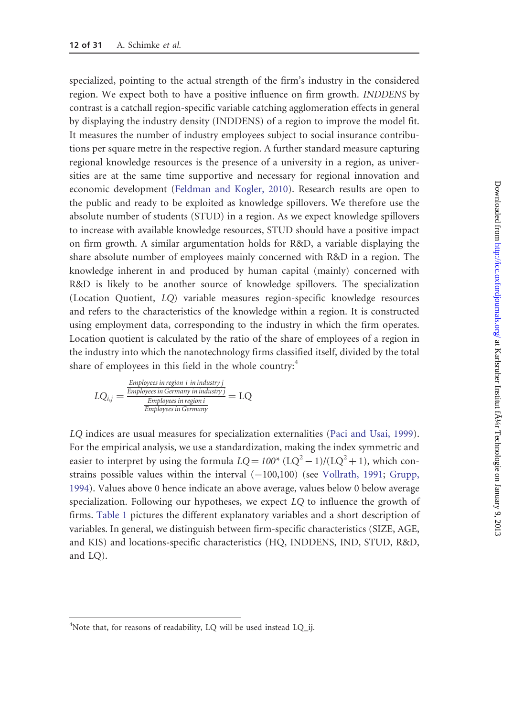specialized, pointing to the actual strength of the firm's industry in the considered region. We expect both to have a positive influence on firm growth. INDDENS by contrast is a catchall region-specific variable catching agglomeration effects in general by displaying the industry density (INDDENS) of a region to improve the model fit. It measures the number of industry employees subject to social insurance contributions per square metre in the respective region. A further standard measure capturing regional knowledge resources is the presence of a university in a region, as universities are at the same time supportive and necessary for regional innovation and economic development [\(Feldman and Kogler, 2010](#page-26-0)). Research results are open to the public and ready to be exploited as knowledge spillovers. We therefore use the absolute number of students (STUD) in a region. As we expect knowledge spillovers to increase with available knowledge resources, STUD should have a positive impact on firm growth. A similar argumentation holds for R&D, a variable displaying the share absolute number of employees mainly concerned with R&D in a region. The knowledge inherent in and produced by human capital (mainly) concerned with R&D is likely to be another source of knowledge spillovers. The specialization (Location Quotient, LQ) variable measures region-specific knowledge resources and refers to the characteristics of the knowledge within a region. It is constructed using employment data, corresponding to the industry in which the Erm operates. Location quotient is calculated by the ratio of the share of employees of a region in the industry into which the nanotechnology firms classified itself, divided by the total share of employees in this field in the whole country: $4$ 

$$
LO_{i,j} = \frac{\frac{Employee \sin region \ i \ in industry \ j}{Employee \ in Germany \ in industry \ j}}{\frac{Employee \sin region \ i}{Employee \ in region \ i}} = \text{LQ}
$$

LQ indices are usual measures for specialization externalities [\(Paci and Usai, 1999](#page-27-0)). For the empirical analysis, we use a standardization, making the index symmetric and easier to interpret by using the formula  $LQ = 100^* (LQ^2 - 1)/(LQ^2 + 1)$ , which con-strains possible values within the interval (-100,100) (see [Vollrath, 1991;](#page-27-0) [Grupp,](#page-26-0) [1994\)](#page-26-0). Values above 0 hence indicate an above average, values below 0 below average specialization. Following our hypotheses, we expect LQ to influence the growth of firms. [Table 1](#page-10-0) pictures the different explanatory variables and a short description of variables. In general, we distinguish between firm-specific characteristics (SIZE, AGE, and KIS) and locations-specific characteristics (HQ, INDDENS, IND, STUD, R&D, and LQ).

<sup>&</sup>lt;sup>4</sup>Note that, for reasons of readability, LQ will be used instead LQ\_ij.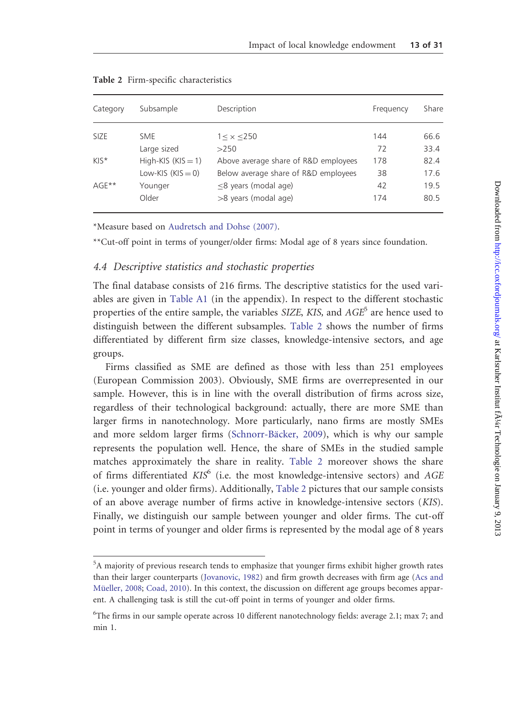| Category    | Subsample            | Description                          | Frequency | Share |
|-------------|----------------------|--------------------------------------|-----------|-------|
| <b>SIZE</b> | <b>SME</b>           | 1 < x < 250                          | 144       | 66.6  |
|             | Large sized          | >250                                 | 72        | 33.4  |
| $KIS^*$     | High-KIS $(KIS = 1)$ | Above average share of R&D employees | 178       | 82.4  |
|             | Low-KIS $(KIS = 0)$  | Below average share of R&D employees | 38        | 17.6  |
| $AGE***$    | Younger              | $\leq$ 8 years (modal age)           | 42        | 19.5  |
|             | Older                | >8 years (modal age)                 | 174       | 80.5  |

Table 2 Firm-specific characteristics

\*Measure based on [Audretsch and Dohse \(2007\)](#page-25-0).

\*\*Cut-off point in terms of younger/older firms: Modal age of 8 years since foundation.

#### 4.4 Descriptive statistics and stochastic properties

The final database consists of 216 firms. The descriptive statistics for the used variables are given in [Table A1](#page-28-0) (in the appendix). In respect to the different stochastic properties of the entire sample, the variables  $SIZE$ , KIS, and  $AGE<sup>5</sup>$  are hence used to distinguish between the different subsamples. Table 2 shows the number of firms differentiated by different firm size classes, knowledge-intensive sectors, and age groups.

Firms classified as SME are defined as those with less than 251 employees (European Commission 2003). Obviously, SME firms are overrepresented in our sample. However, this is in line with the overall distribution of firms across size, regardless of their technological background: actually, there are more SME than larger firms in nanotechnology. More particularly, nano firms are mostly SMEs and more seldom larger firms (Schnorr-Bäcker, 2009), which is why our sample represents the population well. Hence, the share of SMEs in the studied sample matches approximately the share in reality. Table 2 moreover shows the share of firms differentiated  $KIS^6$  (i.e. the most knowledge-intensive sectors) and  $AGE$ (i.e. younger and older firms). Additionally, Table 2 pictures that our sample consists of an above average number of firms active in knowledge-intensive sectors (KIS). Finally, we distinguish our sample between younger and older firms. The cut-off point in terms of younger and older firms is represented by the modal age of 8 years

<sup>&</sup>lt;sup>5</sup>A majority of previous research tends to emphasize that younger firms exhibit higher growth rates than their larger counterparts [\(Jovanovic, 1982\)](#page-26-0) and firm growth decreases with firm age [\(Acs and](#page-25-0) Müeller, 2008; [Coad, 2010](#page-25-0)). In this context, the discussion on different age groups becomes apparent. A challenging task is still the cut-off point in terms of younger and older firms.

<sup>&</sup>lt;sup>6</sup>The firms in our sample operate across 10 different nanotechnology fields: average 2.1; max 7; and min 1.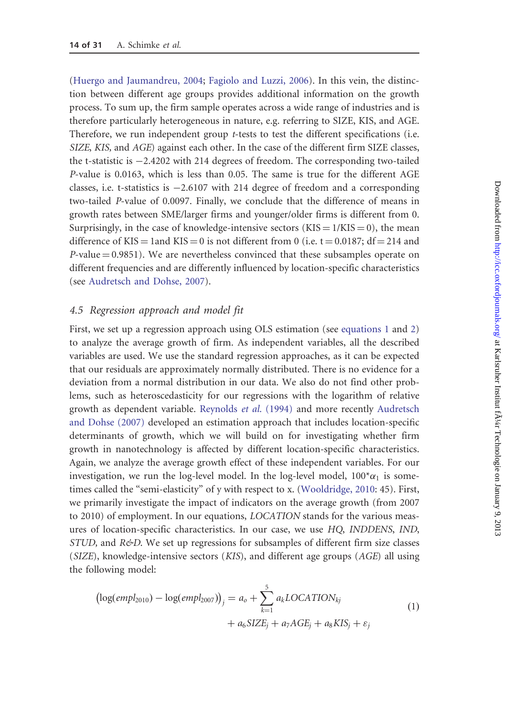[\(Huergo and Jaumandreu, 2004;](#page-26-0) [Fagiolo and Luzzi, 2006](#page-25-0)). In this vein, the distinction between different age groups provides additional information on the growth process. To sum up, the firm sample operates across a wide range of industries and is therefore particularly heterogeneous in nature, e.g. referring to SIZE, KIS, and AGE. Therefore, we run independent group t-tests to test the different specifications (i.e. SIZE, KIS, and AGE) against each other. In the case of the different firm SIZE classes, the t-statistic is -2.4202 with 214 degrees of freedom. The corresponding two-tailed P-value is 0.0163, which is less than 0.05. The same is true for the different AGE classes, i.e. t-statistics is -2.6107 with 214 degree of freedom and a corresponding two-tailed P-value of 0.0097. Finally, we conclude that the difference of means in growth rates between SME/larger firms and younger/older firms is different from 0. Surprisingly, in the case of knowledge-intensive sectors  $(KIS = 1/KIS = 0)$ , the mean difference of KIS = 1and KIS = 0 is not different from 0 (i.e.  $t = 0.0187$ ; df = 214 and  $P$ -value  $= 0.9851$ ). We are nevertheless convinced that these subsamples operate on different frequencies and are differently influenced by location-specific characteristics (see [Audretsch and Dohse, 2007](#page-25-0)).

#### 4.5 Regression approach and model fit

First, we set up a regression approach using OLS estimation (see equations 1 and 2) to analyze the average growth of firm. As independent variables, all the described variables are used. We use the standard regression approaches, as it can be expected that our residuals are approximately normally distributed. There is no evidence for a deviation from a normal distribution in our data. We also do not find other problems, such as heteroscedasticity for our regressions with the logarithm of relative growth as dependent variable. [Reynolds](#page-27-0) et al. (1994) and more recently [Audretsch](#page-25-0) and Dohse  $(2007)$  developed an estimation approach that includes location-specific determinants of growth, which we will build on for investigating whether firm growth in nanotechnology is affected by different location-specific characteristics. Again, we analyze the average growth effect of these independent variables. For our investigation, we run the log-level model. In the log-level model,  $100^{\ast}\alpha_1$  is sometimes called the "semi-elasticity" of y with respect to x. ([Wooldridge, 2010:](#page-27-0) 45). First, we primarily investigate the impact of indicators on the average growth (from 2007 to 2010) of employment. In our equations, LOCATION stands for the various measures of location-specific characteristics. In our case, we use HQ, INDDENS, IND,  $STUD$ , and  $R\&D$ . We set up regressions for subsamples of different firm size classes  $(SIZE)$ , knowledge-intensive sectors  $(KIS)$ , and different age groups  $(AGE)$  all using the following model:

$$
(\log(empl_{2010}) - \log(empl_{2007}))_j = a_o + \sum_{k=1}^{5} a_k LOGATION_{kj} + a_o SIZE_j + a_7AGE_j + a_8 KIS_j + \varepsilon_j
$$
 (1)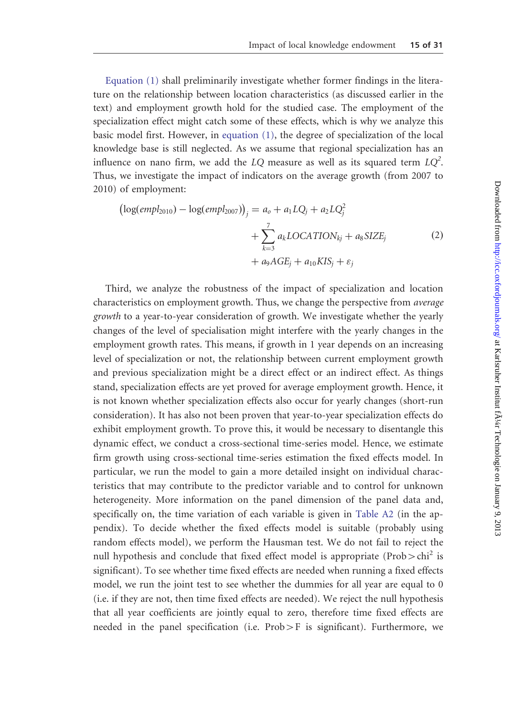Equation (1) shall preliminarily investigate whether former findings in the literature on the relationship between location characteristics (as discussed earlier in the text) and employment growth hold for the studied case. The employment of the specialization effect might catch some of these effects, which is why we analyze this basic model first. However, in equation (1), the degree of specialization of the local knowledge base is still neglected. As we assume that regional specialization has an influence on nano firm, we add the LQ measure as well as its squared term  $LQ^2$ . Thus, we investigate the impact of indicators on the average growth (from 2007 to 2010) of employment:

$$
\left(\log(empl_{2010}) - \log(empl_{2007})\right)_j = a_o + a_1 LQ_j + a_2 LQ_j^2 + \sum_{k=3}^7 a_k LOCATION_{kj} + a_8 SIZE_j + a_9 AGE_j + a_{10} KIS_j + \varepsilon_j
$$
\n(2)

Third, we analyze the robustness of the impact of specialization and location characteristics on employment growth. Thus, we change the perspective from average growth to a year-to-year consideration of growth. We investigate whether the yearly changes of the level of specialisation might interfere with the yearly changes in the employment growth rates. This means, if growth in 1 year depends on an increasing level of specialization or not, the relationship between current employment growth and previous specialization might be a direct effect or an indirect effect. As things stand, specialization effects are yet proved for average employment growth. Hence, it is not known whether specialization effects also occur for yearly changes (short-run consideration). It has also not been proven that year-to-year specialization effects do exhibit employment growth. To prove this, it would be necessary to disentangle this dynamic effect, we conduct a cross-sectional time-series model. Hence, we estimate firm growth using cross-sectional time-series estimation the fixed effects model. In particular, we run the model to gain a more detailed insight on individual characteristics that may contribute to the predictor variable and to control for unknown heterogeneity. More information on the panel dimension of the panel data and, specifically on, the time variation of each variable is given in [Table A2](#page-28-0) (in the appendix). To decide whether the fixed effects model is suitable (probably using random effects model), we perform the Hausman test. We do not fail to reject the null hypothesis and conclude that fixed effect model is appropriate (Prob  $>$ chi<sup>2</sup> is significant). To see whether time fixed effects are needed when running a fixed effects model, we run the joint test to see whether the dummies for all year are equal to 0 (i.e. if they are not, then time fixed effects are needed). We reject the null hypothesis that all year coefficients are jointly equal to zero, therefore time fixed effects are needed in the panel specification (i.e.  $Prob > F$  is significant). Furthermore, we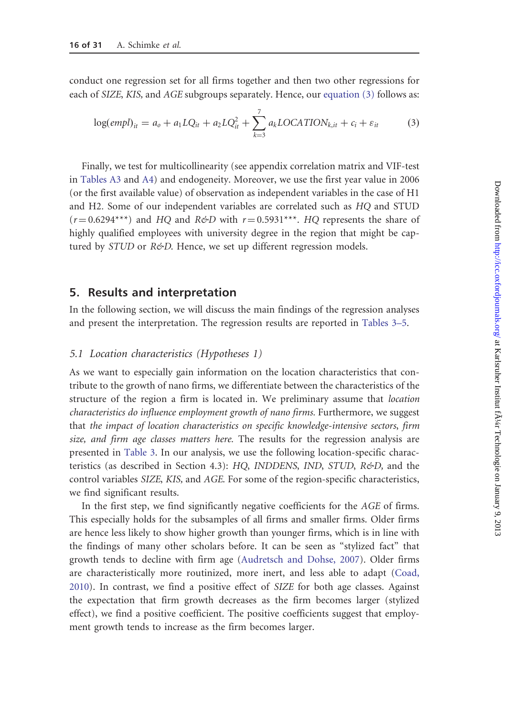conduct one regression set for all firms together and then two other regressions for each of SIZE, KIS, and AGE subgroups separately. Hence, our equation (3) follows as:

$$
\log(empl)_{it} = a_o + a_1 LQ_{it} + a_2 LQ_{it}^2 + \sum_{k=3}^{7} a_k LOGATION_{k,it} + c_i + \varepsilon_{it}
$$
 (3)

Finally, we test for multicollinearity (see appendix correlation matrix and VIF-test in [Tables A3](#page-29-0) and [A4\)](#page-30-0) and endogeneity. Moreover, we use the first year value in 2006 (or the first available value) of observation as independent variables in the case of H1 and H2. Some of our independent variables are correlated such as HQ and STUD  $(r=0.6294***)$  and HQ and R&D with  $r=0.5931***$ . HQ represents the share of highly qualified employees with university degree in the region that might be captured by STUD or R&D. Hence, we set up different regression models.

# 5. Results and interpretation

In the following section, we will discuss the main findings of the regression analyses and present the interpretation. The regression results are reported in [Tables 3–5.](#page-16-0)

#### 5.1 Location characteristics (Hypotheses 1)

As we want to especially gain information on the location characteristics that contribute to the growth of nano firms, we differentiate between the characteristics of the structure of the region a firm is located in. We preliminary assume that location characteristics do influence employment growth of nano firms. Furthermore, we suggest that the impact of location characteristics on specific knowledge-intensive sectors, firm size, and firm age classes matters here. The results for the regression analysis are presented in [Table 3.](#page-16-0) In our analysis, we use the following location-specific characteristics (as described in Section 4.3): HQ, INDDENS, IND, STUD, R&D, and the control variables SIZE, KIS, and AGE. For some of the region-specific characteristics, we find significant results.

In the first step, we find significantly negative coefficients for the AGE of firms. This especially holds for the subsamples of all firms and smaller firms. Older firms are hence less likely to show higher growth than younger firms, which is in line with the findings of many other scholars before. It can be seen as "stylized fact" that growth tends to decline with firm age ([Audretsch and Dohse, 2007\)](#page-25-0). Older firms are characteristically more routinized, more inert, and less able to adapt [\(Coad,](#page-25-0) [2010\)](#page-25-0). In contrast, we find a positive effect of SIZE for both age classes. Against the expectation that firm growth decreases as the firm becomes larger (stylized effect), we find a positive coefficient. The positive coefficients suggest that employment growth tends to increase as the firm becomes larger.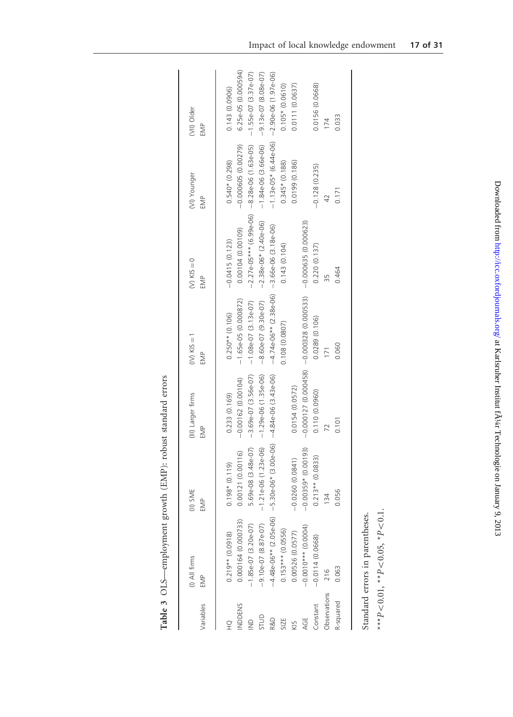<span id="page-16-0"></span>

| ariables     | (I) All firms<br>EMP       | (II) SME<br>EMP                                                         | (III) Larger firms<br>EMP | $(10)$ KIS = 1<br>EMP                                          | $(X)$ KIS = 0<br>EMP                             | (VI) Younger<br>EMP                            | (VII) Older<br>EMP     |
|--------------|----------------------------|-------------------------------------------------------------------------|---------------------------|----------------------------------------------------------------|--------------------------------------------------|------------------------------------------------|------------------------|
|              | $0.219**$ (0.0918)         | $0.198*(0.119)$                                                         | 0.233(0.169)              | $0.250**$ (0.106)                                              | $-0.0415(0.123)$                                 | $0.540*(0.298)$                                | 0.143(0.0906)          |
| NDDENS       | 0.000164 (0.000733)        | 0.00121 (0.00116)                                                       | $-0.00162(0.00104)$       | $-1.65e-05(0.000872)$                                          | 0.00104(0.00109)                                 | $-0.000605(0.00279)$                           | 6.25e-05 (0.000594)    |
|              | $-1.85e-07$ (3.20 $e-07$ ) | 5.69e-08 (3.48e-07)                                                     | $-3.69e-07$ (3.56e-07)    | $-1.08e-07$ (3.13e-07)                                         | $-2.27e-05***$ (6.99e-06) $-8.28e-06$ (1.63e-05) |                                                | $-1.55e-07$ (3.37e-07) |
| STUD         | $-9.10e-07$ $(8.87e-07)$   | $-1.21e-06(1.23e-06)$                                                   | $-1.29e-06(1.35e-06)$     | $-8.60e-07(9.30e-07)$                                          | $-2.38e-06*$ (2.40e-06)                          | $-1.84e-06$ (3.66e-06)                         | $-9.13e-07(8.08e-07)$  |
| R&D          |                            | $-4.48e-06**$ (2.05e-06) $-5.30e-06*$ (3.00e-06) $-4.84e-06$ (3.43e-06) |                           | $-4.74e-06**$ (2.38e-06) $-3.66e-06$ (3.18e-06)                |                                                  | $-1.13e-05*$ (6.44e-06) $-2.90e-06$ (1.97e-06) |                        |
| SIZE         | $0.153***$ (0.0556)        |                                                                         |                           | 0.108 (0.0807)                                                 | 0.143(0.104)                                     | $0.345*(0.188)$                                | $0.105*$ (0.0610)      |
|              | 0.00526 (0.0577)           | $-0.0260(0.0841)$                                                       | 0.0154(0.0572)            |                                                                |                                                  | 0.0199 (0.186)                                 | 0.0111(0.0637)         |
| AGE          | $-0.0010***$ (0.0004)      | $-0.00359*$ (0.00193)                                                   |                           | $-0.000127(0.000458) -0.000328(0.000533) -0.0006635(0.000623)$ |                                                  |                                                |                        |
| Constant     | $-0.0114(0.0668)$          | $0.213**$ (0.0833)                                                      | 0.110(0.0960)             | 0.0289(0.106)                                                  | 0.220(0.137)                                     | $-0.128(0.235)$                                | 0.0156 (0.0668)        |
| Observations | 216                        | 134                                                                     |                           |                                                                | 55                                               | 42                                             | 174                    |
| R-squared    | 0.063                      | 0.056                                                                   | 0.101                     | 0.060                                                          | 0.464                                            | 0.171                                          | 0.033                  |

| l<br>$\overline{a}$                                                                                  |
|------------------------------------------------------------------------------------------------------|
|                                                                                                      |
| $\frac{1}{2}$<br>$\frac{1}{2}$                                                                       |
| Fi en                                                                                                |
| ֖֖֖֖֧ׅ֧ׅ֧ׅ֧ׅ֖֧ׅ֖֧֖֧֚֚֚֚֚֚֚֚֚֚֚֚֚֚֚֚֚֚֚֚֚֚֚֚֚֚֚֚֚֚֚֡֝֝֬֝֬֝֬֝<br>$\sim$ $\sim$ $\sim$                  |
| Company of the Company<br>֚֘֝֬<br>֖֖֖֖֖֖֖֧ׅ֖֖֧ׅ֪ׅ֖֧֪ׅ֖֧֪ׅ֖֧֚֚֚֚֚֚֚֚֚֚֚֚֚֚֚֚֚֚֚֚֚֚֚֚֚֚֚֚֚֚֚֚֬֝֝֝֬֝֬֝֬ |
| 、こく                                                                                                  |
| ו<br>ו<br>l                                                                                          |

Standard errors in parentheses. Standard errors in parentheses.

\*\*\* $P$ <0.01, \*\* $P$ <0.05, \* $P$ <0.1. \*\*\*P<0.01, \*\*P<0.05, \*P<0.1.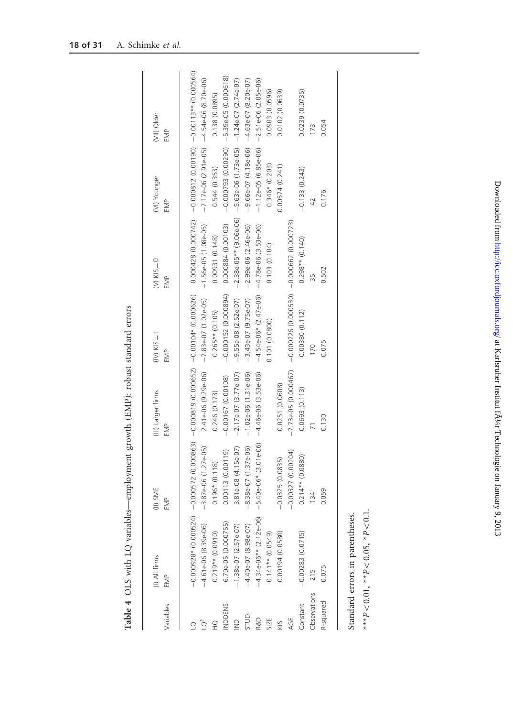<span id="page-17-0"></span>

|              | Table 4 OLS with LQ variables—employment growth (EMP): robust standard errors |                                                                        |                           |                                                                      |                                                                        |                                               |                                              |
|--------------|-------------------------------------------------------------------------------|------------------------------------------------------------------------|---------------------------|----------------------------------------------------------------------|------------------------------------------------------------------------|-----------------------------------------------|----------------------------------------------|
| Variables    | (I) All firms<br>EMP                                                          | (II) SME<br>EMP                                                        | (III) Larger firms<br>EMP | $(10)$ KIS = 1<br>EMP                                                | $(N)$ KIS $= 0$<br>EMP                                                 | (VI) Younger<br>EMP                           | (VII) Older<br>EMP                           |
|              |                                                                               |                                                                        |                           |                                                                      |                                                                        |                                               |                                              |
| ð            | $-4.61e-06(8.39e-06)$                                                         | $-3.87e-06(1.27e-05)$                                                  | 2.41e-06 (9.29e-06)       | $-7.83e-07$ (1.02e-05) $-1.56e-05$ (1.08e-05)                        |                                                                        | $-7.17e-06$ (2.91e-05) $-4.54e-06$ (8.70e-06) |                                              |
|              | $0.219**$ (0.0910)                                                            | $0.196* (0.118)$                                                       | 0.246(0.173)              | $0.265**$ $(0.105)$                                                  | 0.00931(0.148)                                                         | 0.544(0.353)                                  | 0.138(0.0895)                                |
| NDDENS       | 6.70e-05 (0.000755)                                                           | 0.00113(0.00119)                                                       | $-0.00167(0.00108)$       | $-0.000152(0.000894)$                                                | 0.000884 (0.00103)                                                     |                                               | $-0.000793$ (0.00290) $-5.39e-05$ (0.000618) |
|              | $-1.38e-07(2.57e-07)$                                                         | 3.81e-08 (4.15e-07)                                                    | $-2.17e-07$ (3.77e-07)    | $-9.55e-08$ $(2.52e-07)$                                             | $-2.38e-05**$ (9.06e-06) $-5.63e-06$ (1.73e-05) $-1.24e-07$ (2.74e-07) |                                               |                                              |
| STUD         | $-4.40e-07(8.98e-07)$                                                         | $-8.38e-07(1.37e-06)$                                                  | $-1.02e-06(1.31e-06)$     | $-3.43e-07$ (9.75e-07) $-2.99e-06$ (2.46e-06)                        |                                                                        | $-9.66e-07(4.18e-06) -4.63e-07(8.20e-07)$     |                                              |
| R&D          |                                                                               | $-4.34e-06**$ (2.12e-06) $-5.40e-06*(3.01e-06)$ $-4.46e-06$ (3.53e-06) |                           | $-4.54e-06*$ (2.47e-06) $-4.78e-06$ (3.53e-06)                       |                                                                        | $-1.12e-05(6.85e-06) -2.51e-06(2.05e-06)$     |                                              |
| SIZE         | $0.141**$ (0.0549)                                                            |                                                                        |                           | 0.101 (0.0800)                                                       | 0.103(0.104)                                                           | $0.346* (0.203)$                              | 0.0903(0.0596)                               |
|              | 0.00194 (0.0580)                                                              | $-0.0325(0.0835)$                                                      | 0.0251 (0.0608)           |                                                                      |                                                                        | 0.00574(0.241)                                | 0.0102(0.0639)                               |
| AGE          |                                                                               | $-0.00327(0.00204)$                                                    |                           | $-7.73e-05$ (0.000467) $-0.000226$ (0.000530) $-0.000662$ (0.000723) |                                                                        |                                               |                                              |
| Constant     | $-0.00283(0.0715)$                                                            | $0.214**$ (0.0880)                                                     | 0.0693(0.113)             | 0.00380(0.112)                                                       | $0.298**$ (0.140)                                                      | $-0.133(0.243)$                               | 0.0239(0.0735)                               |
| Observations | 215                                                                           | 134                                                                    |                           | 170                                                                  | 35                                                                     | 42                                            | 173                                          |
| R-squared    | 0.075                                                                         | 0.059                                                                  | 0.130                     | 0.075                                                                | 0.502                                                                  | 0.176                                         | 0.054                                        |
|              |                                                                               |                                                                        |                           |                                                                      |                                                                        |                                               |                                              |

Standard errors in parentheses. Standard errors in parentheses.

\*\*\* $P$ <0.01, \*\* $P$ <0.05, \* $P$ <0.1. \*\*\*P<0.01, \*\*P<0.05, \*P<0.1.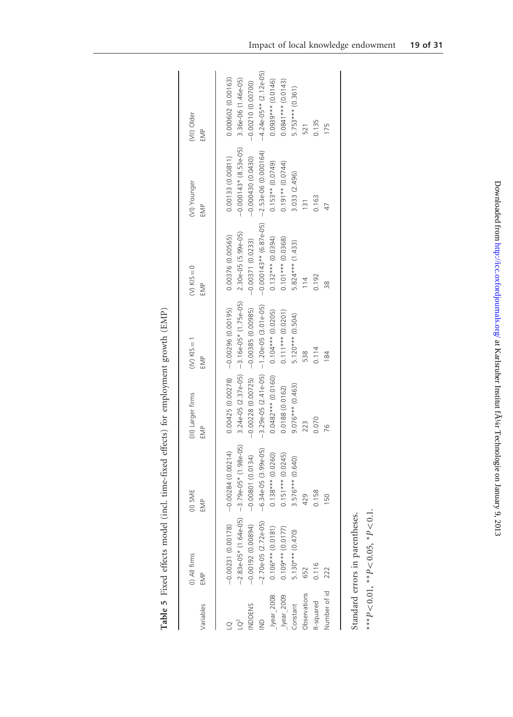<span id="page-18-0"></span>

| <i>Variables</i> | (I) All firms<br>EMP                  | (II) SME<br>EMP                                 | (III) Larger firms<br>EMP             | $(1)$ KIS $= 1$<br>EMP                                        | $(N)$ KIS = 0<br>EMP                            | (VI) Younger<br>EMP     | (VII) Older<br>EMP       |
|------------------|---------------------------------------|-------------------------------------------------|---------------------------------------|---------------------------------------------------------------|-------------------------------------------------|-------------------------|--------------------------|
|                  | $-0.00231(0.00178) -0.00284(0.00214)$ |                                                 |                                       | $0.00425(0.00278) - 0.00296(0.00195)$                         | 0.00376 (0.00565)                               | 0.00133 (0.00811)       | 0.000602 (0.00163)       |
| $\sum^2$         |                                       | $-2.83e-05*$ (1.64e-05) $-3.79e-05*$ (1.98e-05) |                                       | 3.24e-05 (2.37e-05) -3.16e-05* (1.75e-05) 2.30e-05 (5.99e-05) |                                                 | $-0.000143*$ (8.53e-05) | 3.36e-06 (1.46e-05)      |
| NDDENS           | $-0.00192(0.00894)$                   | $-0.00801(0.0134)$                              | $-0.00228(0.00725) -0.00385(0.00985)$ |                                                               | $-0.00371(0.0233)$                              | (0.6430)(0.0430)        | $-0.00210(0.00700)$      |
|                  | $-2.70e-05(2.72e-05)$                 | $-6.34e-05$ (3.99e-05)                          |                                       | $-3.29e-05$ (2.41e-05) $-1.20e-05$ (3.01e-05)                 | $-0.000143**$ (6.87e-05) $-2.53e-06$ (0.000164) |                         | $-4.24e-05**$ (2.12e-05) |
| $year_2008$      | $0.106***$ (0.0181)                   | $0.138***$ (0.0260)                             | $0.0482***$ (0.0160)                  | $0.104***$ (0.0205)                                           | $0.132***$ (0.0394)                             | $0.153**$ $(0.0749)$    | $0.0939***$ $(0.0146)$   |
| $year_2009$      | $0.109***$ (0.0177)                   | $0.151***$ (0.0245)                             | 0.0188(0.0162)                        | $0.111***$ (0.0201)                                           | $0.101***$ (0.0368)                             | $0.191**$ $(0.0744)$    | $0.0841***$ (0.0143)     |
| Constant         | $5.130***$ (0.470)                    | $3.576***$ (0.640)                              | $9.076***$ (0.463)                    | $5.120***$ (0.504)                                            | $5.824***$ (1.433)                              | 3.033 (2.496)           | $5.753***$ (0.361)       |
| Observations     | 652                                   | 429                                             | 223                                   | 538                                                           | 114                                             | $\overline{31}$         | 521                      |
| R-squared        | 0.116                                 | 0.158                                           | 0.070                                 | 0.114                                                         | 0.192                                           | 0.163                   | 0.135                    |
| Number of id     | 222                                   | 150                                             | 26                                    | 184                                                           | $\frac{8}{3}$                                   |                         | 175                      |

Table 5 Fixed effects model (incl. time-fixed effects) for employment growth (EMP) Table 5 Fixed effects model (incl. time-fixed effects) for employment growth (EMP)

\*\*\*P<0.01, \*\*P<0.05, \*P<0.1. Standard errors in parentheses. \*\*\*P<0.01, \*\*P<0.05, \*P<0.1. Standard errors in parentheses.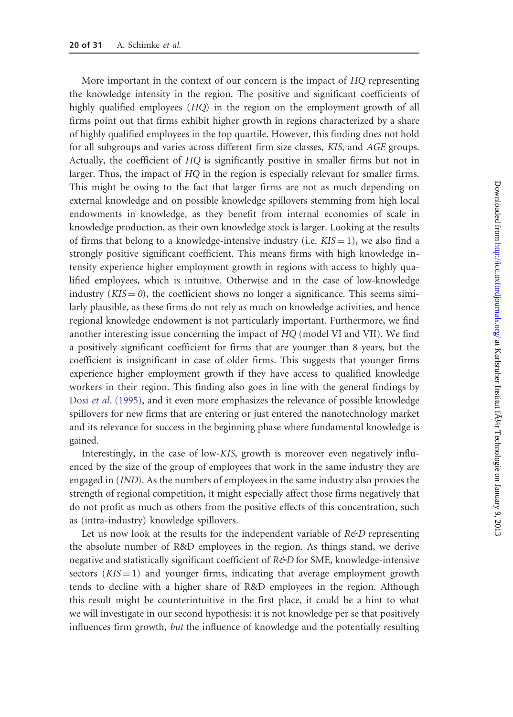More important in the context of our concern is the impact of HQ representing the knowledge intensity in the region. The positive and significant coefficients of highly qualified employees (HQ) in the region on the employment growth of all firms point out that firms exhibit higher growth in regions characterized by a share of highly qualified employees in the top quartile. However, this finding does not hold for all subgroups and varies across different firm size classes, KIS, and AGE groups. Actually, the coefficient of HQ is significantly positive in smaller firms but not in larger. Thus, the impact of HQ in the region is especially relevant for smaller firms. This might be owing to the fact that larger firms are not as much depending on external knowledge and on possible knowledge spillovers stemming from high local endowments in knowledge, as they benefit from internal economies of scale in knowledge production, as their own knowledge stock is larger. Looking at the results of firms that belong to a knowledge-intensive industry (i.e.  $KIS = 1$ ), we also find a strongly positive significant coefficient. This means firms with high knowledge intensity experience higher employment growth in regions with access to highly qualified employees, which is intuitive. Otherwise and in the case of low-knowledge industry  $(KIS = 0)$ , the coefficient shows no longer a significance. This seems similarly plausible, as these firms do not rely as much on knowledge activities, and hence regional knowledge endowment is not particularly important. Furthermore, we find another interesting issue concerning the impact of HQ (model VI and VII). We find a positively significant coefficient for firms that are younger than 8 years, but the coefficient is insignificant in case of older firms. This suggests that younger firms experience higher employment growth if they have access to qualified knowledge workers in their region. This finding also goes in line with the general findings by Dosi et al[. \(1995\)](#page-25-0), and it even more emphasizes the relevance of possible knowledge spillovers for new firms that are entering or just entered the nanotechnology market and its relevance for success in the beginning phase where fundamental knowledge is gained.

Interestingly, in the case of low-KIS, growth is moreover even negatively influenced by the size of the group of employees that work in the same industry they are engaged in (IND). As the numbers of employees in the same industry also proxies the strength of regional competition, it might especially affect those firms negatively that do not profit as much as others from the positive effects of this concentration, such as (intra-industry) knowledge spillovers.

Let us now look at the results for the independent variable of  $R\&D$  representing the absolute number of R&D employees in the region. As things stand, we derive negative and statistically significant coefficient of  $R\&D$  for SME, knowledge-intensive sectors  $(KIS = 1)$  and younger firms, indicating that average employment growth tends to decline with a higher share of R&D employees in the region. Although this result might be counterintuitive in the first place, it could be a hint to what we will investigate in our second hypothesis: it is not knowledge per se that positively influences firm growth, but the influence of knowledge and the potentially resulting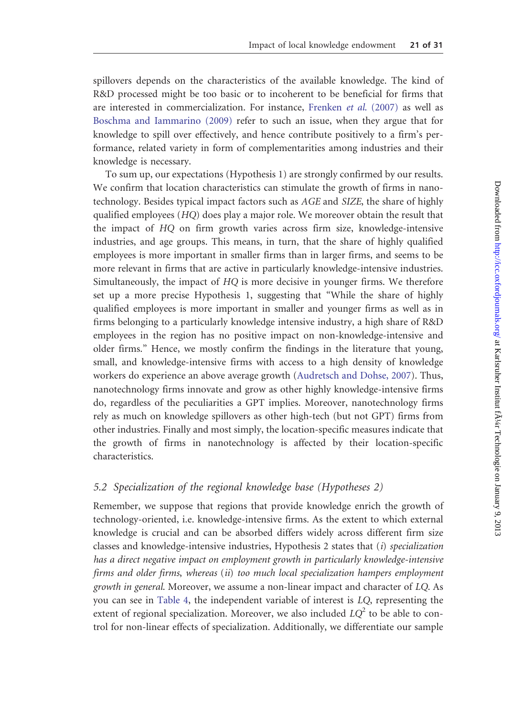spillovers depends on the characteristics of the available knowledge. The kind of R&D processed might be too basic or to incoherent to be beneficial for firms that are interested in commercialization. For instance, Frenken et al[. \(2007\)](#page-26-0) as well as [Boschma and Iammarino \(2009\)](#page-25-0) refer to such an issue, when they argue that for knowledge to spill over effectively, and hence contribute positively to a firm's performance, related variety in form of complementarities among industries and their knowledge is necessary.

To sum up, our expectations (Hypothesis 1) are strongly confirmed by our results. We confirm that location characteristics can stimulate the growth of firms in nanotechnology. Besides typical impact factors such as AGE and SIZE, the share of highly qualified employees (HQ) does play a major role. We moreover obtain the result that the impact of HQ on firm growth varies across firm size, knowledge-intensive industries, and age groups. This means, in turn, that the share of highly qualified employees is more important in smaller firms than in larger firms, and seems to be more relevant in firms that are active in particularly knowledge-intensive industries. Simultaneously, the impact of HQ is more decisive in younger firms. We therefore set up a more precise Hypothesis 1, suggesting that "While the share of highly qualified employees is more important in smaller and younger firms as well as in Erms belonging to a particularly knowledge intensive industry, a high share of R&D employees in the region has no positive impact on non-knowledge-intensive and older firms." Hence, we mostly confirm the findings in the literature that young, small, and knowledge-intensive firms with access to a high density of knowledge workers do experience an above average growth [\(Audretsch and Dohse, 2007\)](#page-25-0). Thus, nanotechnology firms innovate and grow as other highly knowledge-intensive firms do, regardless of the peculiarities a GPT implies. Moreover, nanotechnology firms rely as much on knowledge spillovers as other high-tech (but not GPT) firms from other industries. Finally and most simply, the location-specific measures indicate that the growth of firms in nanotechnology is affected by their location-specific characteristics.

# 5.2 Specialization of the regional knowledge base (Hypotheses 2)

Remember, we suppose that regions that provide knowledge enrich the growth of technology-oriented, i.e. knowledge-intensive firms. As the extent to which external knowledge is crucial and can be absorbed differs widely across different firm size classes and knowledge-intensive industries, Hypothesis 2 states that  $(i)$  specialization has a direct negative impact on employment growth in particularly knowledge-intensive firms and older firms, whereas (ii) too much local specialization hampers employment growth in general. Moreover, we assume a non-linear impact and character of LQ. As you can see in [Table 4](#page-17-0), the independent variable of interest is LQ, representing the extent of regional specialization. Moreover, we also included  $LO<sup>2</sup>$  to be able to control for non-linear effects of specialization. Additionally, we differentiate our sample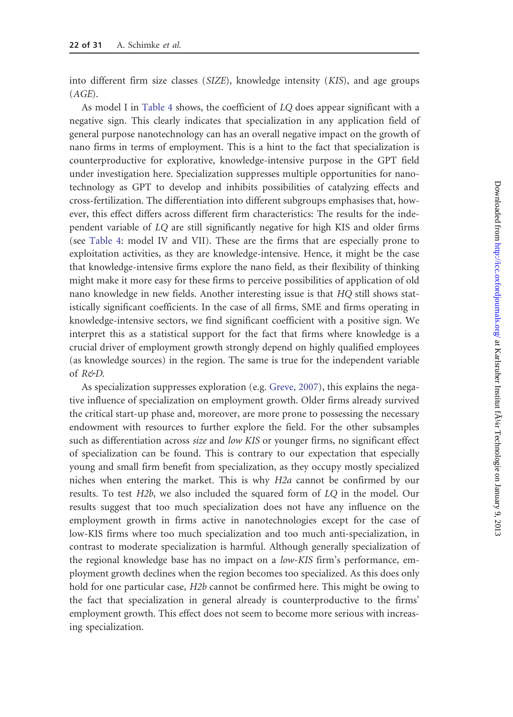into different firm size classes (SIZE), knowledge intensity (KIS), and age groups  $(AGE).$ 

As model I in [Table 4](#page-17-0) shows, the coefficient of LQ does appear significant with a negative sign. This clearly indicates that specialization in any application field of general purpose nanotechnology can has an overall negative impact on the growth of nano firms in terms of employment. This is a hint to the fact that specialization is counterproductive for explorative, knowledge-intensive purpose in the GPT field under investigation here. Specialization suppresses multiple opportunities for nanotechnology as GPT to develop and inhibits possibilities of catalyzing effects and cross-fertilization. The differentiation into different subgroups emphasises that, however, this effect differs across different firm characteristics: The results for the independent variable of LQ are still significantly negative for high KIS and older firms (see [Table 4:](#page-17-0) model IV and VII). These are the firms that are especially prone to exploitation activities, as they are knowledge-intensive. Hence, it might be the case that knowledge-intensive firms explore the nano field, as their flexibility of thinking might make it more easy for these firms to perceive possibilities of application of old nano knowledge in new fields. Another interesting issue is that HQ still shows statistically significant coefficients. In the case of all firms, SME and firms operating in knowledge-intensive sectors, we find significant coefficient with a positive sign. We interpret this as a statistical support for the fact that firms where knowledge is a crucial driver of employment growth strongly depend on highly qualified employees (as knowledge sources) in the region. The same is true for the independent variable of R&D.

As specialization suppresses exploration (e.g. [Greve, 2007\)](#page-26-0), this explains the negative influence of specialization on employment growth. Older firms already survived the critical start-up phase and, moreover, are more prone to possessing the necessary endowment with resources to further explore the field. For the other subsamples such as differentiation across size and low KIS or younger firms, no significant effect of specialization can be found. This is contrary to our expectation that especially young and small firm benefit from specialization, as they occupy mostly specialized niches when entering the market. This is why H2a cannot be confirmed by our results. To test H2b, we also included the squared form of LQ in the model. Our results suggest that too much specialization does not have any influence on the employment growth in firms active in nanotechnologies except for the case of low-KIS firms where too much specialization and too much anti-specialization, in contrast to moderate specialization is harmful. Although generally specialization of the regional knowledge base has no impact on a low-KIS firm's performance, employment growth declines when the region becomes too specialized. As this does only hold for one particular case, H2b cannot be confirmed here. This might be owing to the fact that specialization in general already is counterproductive to the firms' employment growth. This effect does not seem to become more serious with increasing specialization.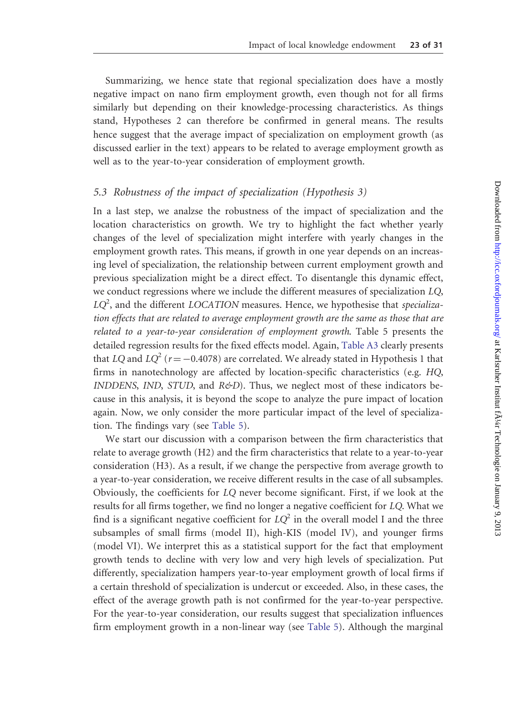Summarizing, we hence state that regional specialization does have a mostly negative impact on nano firm employment growth, even though not for all firms similarly but depending on their knowledge-processing characteristics. As things stand, Hypotheses 2 can therefore be confirmed in general means. The results hence suggest that the average impact of specialization on employment growth (as discussed earlier in the text) appears to be related to average employment growth as well as to the year-to-year consideration of employment growth.

#### 5.3 Robustness of the impact of specialization (Hypothesis 3)

In a last step, we analzse the robustness of the impact of specialization and the location characteristics on growth. We try to highlight the fact whether yearly changes of the level of specialization might interfere with yearly changes in the employment growth rates. This means, if growth in one year depends on an increasing level of specialization, the relationship between current employment growth and previous specialization might be a direct effect. To disentangle this dynamic effect, we conduct regressions where we include the different measures of specialization LQ,  $LQ<sup>2</sup>$ , and the different LOCATION measures. Hence, we hypothesise that specialization effects that are related to average employment growth are the same as those that are related to a year-to-year consideration of employment growth. Table 5 presents the detailed regression results for the fixed effects model. Again, [Table A3](#page-29-0) clearly presents that LQ and LQ<sup>2</sup> ( $r = -0.4078$ ) are correlated. We already stated in Hypothesis 1 that firms in nanotechnology are affected by location-specific characteristics (e.g. HQ, INDDENS, IND, STUD, and  $R\&D$ . Thus, we neglect most of these indicators because in this analysis, it is beyond the scope to analyze the pure impact of location again. Now, we only consider the more particular impact of the level of specialization. The findings vary (see [Table 5\)](#page-18-0).

We start our discussion with a comparison between the firm characteristics that relate to average growth (H2) and the firm characteristics that relate to a year-to-year consideration (H3). As a result, if we change the perspective from average growth to a year-to-year consideration, we receive different results in the case of all subsamples. Obviously, the coefficients for LQ never become significant. First, if we look at the results for all firms together, we find no longer a negative coefficient for LQ. What we find is a significant negative coefficient for  $LO<sup>2</sup>$  in the overall model I and the three subsamples of small firms (model II), high-KIS (model IV), and younger firms (model VI). We interpret this as a statistical support for the fact that employment growth tends to decline with very low and very high levels of specialization. Put differently, specialization hampers year-to-year employment growth of local firms if a certain threshold of specialization is undercut or exceeded. Also, in these cases, the effect of the average growth path is not confirmed for the year-to-year perspective. For the year-to-year consideration, our results suggest that specialization influences firm employment growth in a non-linear way (see [Table 5](#page-18-0)). Although the marginal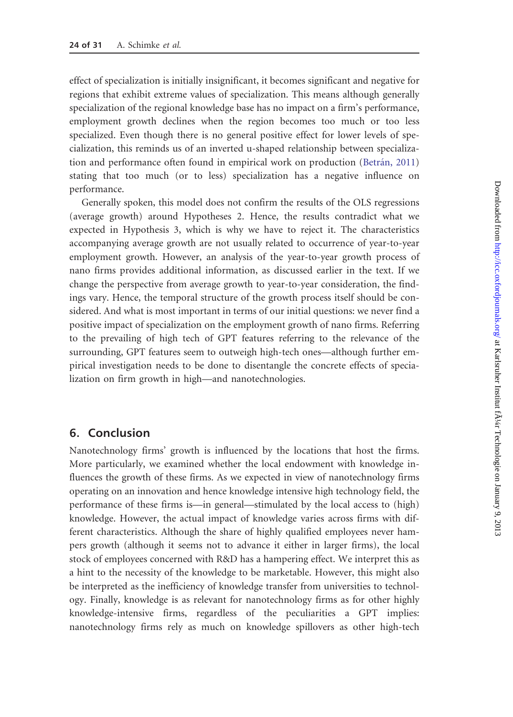effect of specialization is initially insignificant, it becomes significant and negative for regions that exhibit extreme values of specialization. This means although generally specialization of the regional knowledge base has no impact on a firm's performance, employment growth declines when the region becomes too much or too less specialized. Even though there is no general positive effect for lower levels of specialization, this reminds us of an inverted u-shaped relationship between specialization and performance often found in empirical work on production (Betrán, 2011) stating that too much (or to less) specialization has a negative influence on performance.

Generally spoken, this model does not confirm the results of the OLS regressions (average growth) around Hypotheses 2. Hence, the results contradict what we expected in Hypothesis 3, which is why we have to reject it. The characteristics accompanying average growth are not usually related to occurrence of year-to-year employment growth. However, an analysis of the year-to-year growth process of nano firms provides additional information, as discussed earlier in the text. If we change the perspective from average growth to year-to-year consideration, the findings vary. Hence, the temporal structure of the growth process itself should be considered. And what is most important in terms of our initial questions: we never find a positive impact of specialization on the employment growth of nano firms. Referring to the prevailing of high tech of GPT features referring to the relevance of the surrounding, GPT features seem to outweigh high-tech ones—although further empirical investigation needs to be done to disentangle the concrete effects of specialization on firm growth in high—and nanotechnologies.

# 6. Conclusion

Nanotechnology firms' growth is influenced by the locations that host the firms. More particularly, we examined whether the local endowment with knowledge influences the growth of these firms. As we expected in view of nanotechnology firms operating on an innovation and hence knowledge intensive high technology field, the performance of these firms is—in general—stimulated by the local access to (high) knowledge. However, the actual impact of knowledge varies across firms with different characteristics. Although the share of highly qualified employees never hampers growth (although it seems not to advance it either in larger firms), the local stock of employees concerned with R&D has a hampering effect. We interpret this as a hint to the necessity of the knowledge to be marketable. However, this might also be interpreted as the inefficiency of knowledge transfer from universities to technology. Finally, knowledge is as relevant for nanotechnology firms as for other highly knowledge-intensive firms, regardless of the peculiarities a GPT implies: nanotechnology firms rely as much on knowledge spillovers as other high-tech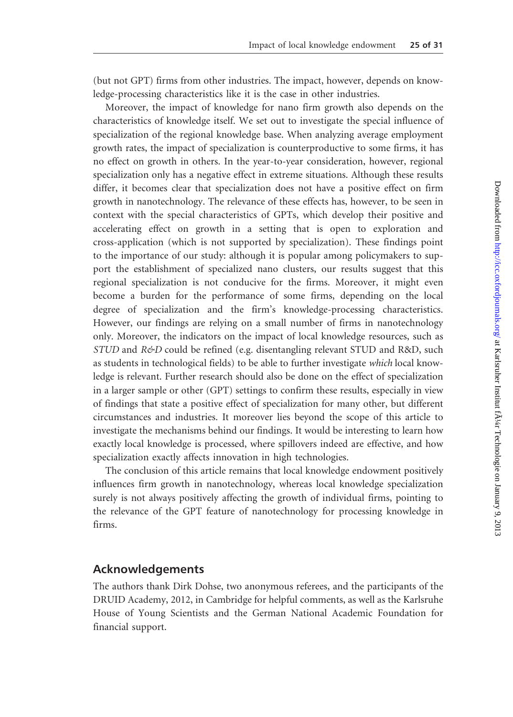(but not GPT) firms from other industries. The impact, however, depends on knowledge-processing characteristics like it is the case in other industries.

Moreover, the impact of knowledge for nano firm growth also depends on the characteristics of knowledge itself. We set out to investigate the special influence of specialization of the regional knowledge base. When analyzing average employment growth rates, the impact of specialization is counterproductive to some firms, it has no effect on growth in others. In the year-to-year consideration, however, regional specialization only has a negative effect in extreme situations. Although these results differ, it becomes clear that specialization does not have a positive effect on firm growth in nanotechnology. The relevance of these effects has, however, to be seen in context with the special characteristics of GPTs, which develop their positive and accelerating effect on growth in a setting that is open to exploration and cross-application (which is not supported by specialization). These findings point to the importance of our study: although it is popular among policymakers to support the establishment of specialized nano clusters, our results suggest that this regional specialization is not conducive for the firms. Moreover, it might even become a burden for the performance of some firms, depending on the local degree of specialization and the firm's knowledge-processing characteristics. However, our findings are relying on a small number of firms in nanotechnology only. Moreover, the indicators on the impact of local knowledge resources, such as STUD and R&D could be refined (e.g. disentangling relevant STUD and R&D, such as students in technological fields) to be able to further investigate which local knowledge is relevant. Further research should also be done on the effect of specialization in a larger sample or other (GPT) settings to confirm these results, especially in view of findings that state a positive effect of specialization for many other, but different circumstances and industries. It moreover lies beyond the scope of this article to investigate the mechanisms behind our findings. It would be interesting to learn how exactly local knowledge is processed, where spillovers indeed are effective, and how specialization exactly affects innovation in high technologies.

The conclusion of this article remains that local knowledge endowment positively influences firm growth in nanotechnology, whereas local knowledge specialization surely is not always positively affecting the growth of individual firms, pointing to the relevance of the GPT feature of nanotechnology for processing knowledge in firms.

# Acknowledgements

The authors thank Dirk Dohse, two anonymous referees, and the participants of the DRUID Academy, 2012, in Cambridge for helpful comments, as well as the Karlsruhe House of Young Scientists and the German National Academic Foundation for financial support.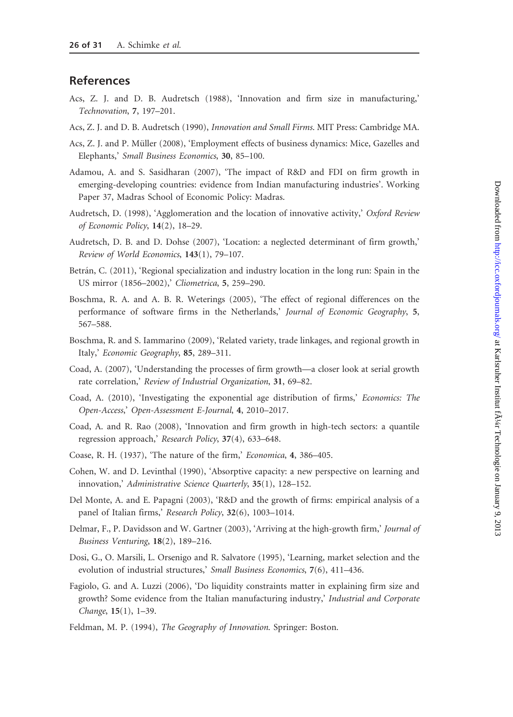# <span id="page-25-0"></span>References

- Acs, Z. J. and D. B. Audretsch (1988), 'Innovation and firm size in manufacturing,' Technovation, 7, 197–201.
- Acs, Z. J. and D. B. Audretsch (1990), Innovation and Small Firms. MIT Press: Cambridge MA.
- Acs, Z. J. and P. Müller (2008), 'Employment effects of business dynamics: Mice, Gazelles and Elephants,' Small Business Economics, 30, 85–100.
- Adamou, A. and S. Sasidharan (2007), 'The impact of R&D and FDI on firm growth in emerging-developing countries: evidence from Indian manufacturing industries'. Working Paper 37, Madras School of Economic Policy: Madras.
- Audretsch, D. (1998), 'Agglomeration and the location of innovative activity,' Oxford Review of Economic Policy, 14(2), 18–29.
- Audretsch, D. B. and D. Dohse (2007), 'Location: a neglected determinant of firm growth,' Review of World Economics, 143(1), 79–107.
- Betrán, C. (2011), 'Regional specialization and industry location in the long run: Spain in the US mirror (1856–2002),' Cliometrica, 5, 259–290.
- Boschma, R. A. and A. B. R. Weterings (2005), 'The effect of regional differences on the performance of software firms in the Netherlands,' Journal of Economic Geography, 5, 567–588.
- Boschma, R. and S. Iammarino (2009), 'Related variety, trade linkages, and regional growth in Italy,' Economic Geography, 85, 289–311.
- Coad, A. (2007), 'Understanding the processes of firm growth—a closer look at serial growth rate correlation,' Review of Industrial Organization, 31, 69–82.
- Coad, A. (2010), 'Investigating the exponential age distribution of firms,' Economics: The Open-Access,' Open-Assessment E-Journal, 4, 2010–2017.
- Coad, A. and R. Rao (2008), 'Innovation and firm growth in high-tech sectors: a quantile regression approach,' Research Policy, 37(4), 633–648.
- Coase, R. H. (1937), 'The nature of the firm,' Economica, 4, 386–405.
- Cohen, W. and D. Levinthal (1990), 'Absorptive capacity: a new perspective on learning and innovation,' Administrative Science Quarterly, 35(1), 128–152.
- Del Monte, A. and E. Papagni (2003), 'R&D and the growth of firms: empirical analysis of a panel of Italian firms,' Research Policy, 32(6), 1003–1014.
- Delmar, F., P. Davidsson and W. Gartner (2003), 'Arriving at the high-growth firm,' Journal of Business Venturing, 18(2), 189–216.
- Dosi, G., O. Marsili, L. Orsenigo and R. Salvatore (1995), 'Learning, market selection and the evolution of industrial structures,' Small Business Economics, 7(6), 411–436.
- Fagiolo, G. and A. Luzzi (2006), 'Do liquidity constraints matter in explaining firm size and growth? Some evidence from the Italian manufacturing industry,' Industrial and Corporate Change, 15(1), 1–39.
- Feldman, M. P. (1994), The Geography of Innovation. Springer: Boston.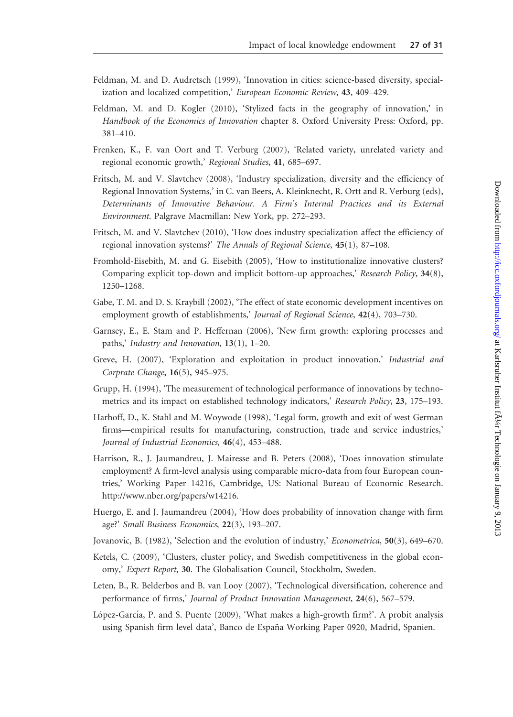- <span id="page-26-0"></span>Feldman, M. and D. Audretsch (1999), 'Innovation in cities: science-based diversity, specialization and localized competition,' European Economic Review, 43, 409–429.
- Feldman, M. and D. Kogler (2010), 'Stylized facts in the geography of innovation,' in Handbook of the Economics of Innovation chapter 8. Oxford University Press: Oxford, pp. 381–410.
- Frenken, K., F. van Oort and T. Verburg (2007), 'Related variety, unrelated variety and regional economic growth,' Regional Studies, 41, 685–697.
- Fritsch, M. and V. Slavtchev (2008), 'Industry specialization, diversity and the efficiency of Regional Innovation Systems,' in C. van Beers, A. Kleinknecht, R. Ortt and R. Verburg (eds), Determinants of Innovative Behaviour. A Firm's Internal Practices and its External Environment. Palgrave Macmillan: New York, pp. 272–293.
- Fritsch, M. and V. Slavtchev (2010), 'How does industry specialization affect the efficiency of regional innovation systems?' The Annals of Regional Science, 45(1), 87–108.
- Fromhold-Eisebith, M. and G. Eisebith (2005), 'How to institutionalize innovative clusters? Comparing explicit top-down and implicit bottom-up approaches,' Research Policy, 34(8), 1250–1268.
- Gabe, T. M. and D. S. Kraybill (2002), 'The effect of state economic development incentives on employment growth of establishments,' Journal of Regional Science, 42(4), 703-730.
- Garnsey, E., E. Stam and P. Heffernan (2006), 'New firm growth: exploring processes and paths,' Industry and Innovation, 13(1), 1–20.
- Greve, H. (2007), 'Exploration and exploitation in product innovation,' Industrial and Corprate Change, 16(5), 945–975.
- Grupp, H. (1994), 'The measurement of technological performance of innovations by technometrics and its impact on established technology indicators,' Research Policy, 23, 175–193.
- Harhoff, D., K. Stahl and M. Woywode (1998), 'Legal form, growth and exit of west German firms—empirical results for manufacturing, construction, trade and service industries,' Journal of Industrial Economics, 46(4), 453–488.
- Harrison, R., J. Jaumandreu, J. Mairesse and B. Peters (2008), 'Does innovation stimulate employment? A firm-level analysis using comparable micro-data from four European countries,' Working Paper 14216, Cambridge, US: National Bureau of Economic Research. <http://www.nber.org/papers/w14216>.
- Huergo, E. and J. Jaumandreu (2004), 'How does probability of innovation change with firm age?' Small Business Economics, 22(3), 193–207.
- Jovanovic, B. (1982), 'Selection and the evolution of industry,' Econometrica, 50(3), 649–670.
- Ketels, C. (2009), 'Clusters, cluster policy, and Swedish competitiveness in the global economy,' Expert Report, 30. The Globalisation Council, Stockholm, Sweden.
- Leten, B., R. Belderbos and B. van Looy (2007), 'Technological diversification, coherence and performance of firms,' Journal of Product Innovation Management, 24(6), 567–579.
- López-García, P. and S. Puente (2009), 'What makes a high-growth firm?'. A probit analysis using Spanish firm level data', Banco de España Working Paper 0920, Madrid, Spanien.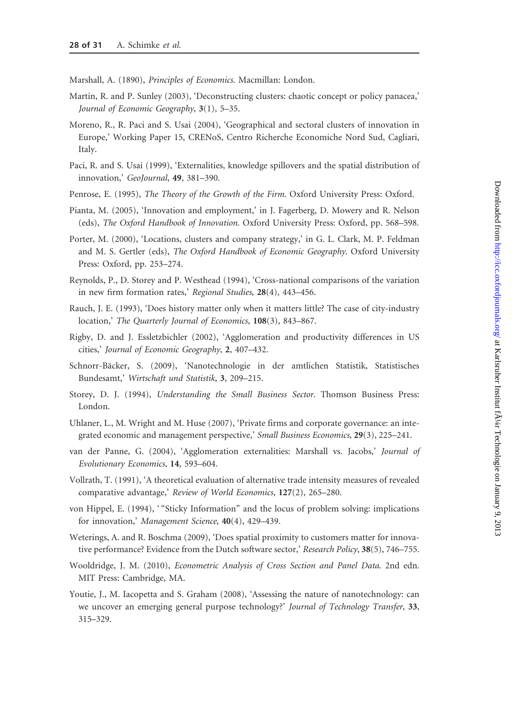<span id="page-27-0"></span>Marshall, A. (1890), Principles of Economics. Macmillan: London.

- Martin, R. and P. Sunley (2003), 'Deconstructing clusters: chaotic concept or policy panacea,' Journal of Economic Geography, 3(1), 5–35.
- Moreno, R., R. Paci and S. Usai (2004), 'Geographical and sectoral clusters of innovation in Europe,' Working Paper 15, CRENoS, Centro Richerche Economiche Nord Sud, Cagliari, Italy.
- Paci, R. and S. Usai (1999), 'Externalities, knowledge spillovers and the spatial distribution of innovation,' GeoJournal, 49, 381–390.
- Penrose, E. (1995), The Theory of the Growth of the Firm. Oxford University Press: Oxford.
- Pianta, M. (2005), 'Innovation and employment,' in J. Fagerberg, D. Mowery and R. Nelson (eds), The Oxford Handbook of Innovation. Oxford University Press: Oxford, pp. 568–598.
- Porter, M. (2000), 'Locations, clusters and company strategy,' in G. L. Clark, M. P. Feldman and M. S. Gertler (eds), The Oxford Handbook of Economic Geography. Oxford University Press: Oxford, pp. 253–274.
- Reynolds, P., D. Storey and P. Westhead (1994), 'Cross-national comparisons of the variation in new firm formation rates,' Regional Studies,  $28(4)$ ,  $443-456$ .
- Rauch, J. E. (1993), 'Does history matter only when it matters little? The case of city-industry location,' The Quarterly Journal of Economics, 108(3), 843-867.
- Rigby, D. and J. Essletzbichler (2002), 'Agglomeration and productivity differences in US cities,' Journal of Economic Geography, 2, 407–432.
- Schnorr-Ba¨cker, S. (2009), 'Nanotechnologie in der amtlichen Statistik, Statistisches Bundesamt,' Wirtschaft und Statistik, 3, 209–215.
- Storey, D. J. (1994), Understanding the Small Business Sector. Thomson Business Press: London.
- Uhlaner, L., M. Wright and M. Huse (2007), 'Private firms and corporate governance: an integrated economic and management perspective,' Small Business Economics, 29(3), 225–241.
- van der Panne, G. (2004), 'Agglomeration externalities: Marshall vs. Jacobs,' Journal of Evolutionary Economics, 14, 593–604.
- Vollrath, T. (1991), 'A theoretical evaluation of alternative trade intensity measures of revealed comparative advantage,' Review of World Economics, 127(2), 265–280.
- von Hippel, E. (1994), ' "Sticky Information" and the locus of problem solving: implications for innovation,' Management Science, 40(4), 429–439.
- Weterings, A. and R. Boschma (2009), 'Does spatial proximity to customers matter for innovative performance? Evidence from the Dutch software sector,' Research Policy, 38(5), 746–755.
- Wooldridge, J. M. (2010), Econometric Analysis of Cross Section and Panel Data. 2nd edn. MIT Press: Cambridge, MA.
- Youtie, J., M. Iacopetta and S. Graham (2008), 'Assessing the nature of nanotechnology: can we uncover an emerging general purpose technology?' Journal of Technology Transfer, 33, 315–329.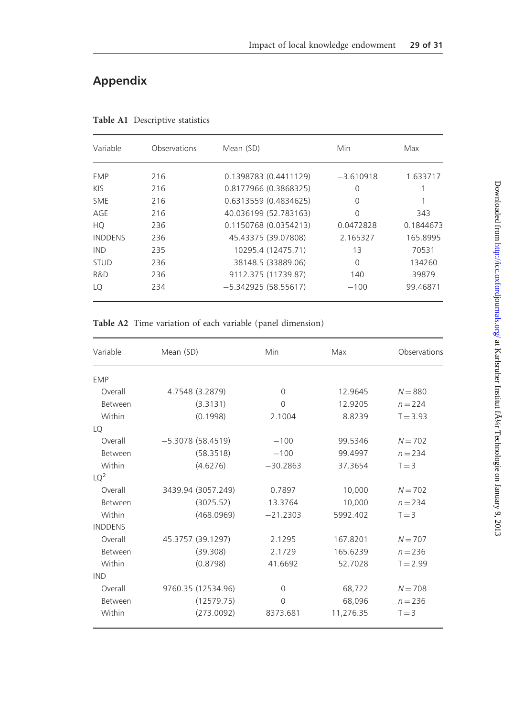# <span id="page-28-0"></span>Appendix

| Variable       | Observations | Mean (SD)             | Min         | Max       |
|----------------|--------------|-----------------------|-------------|-----------|
|                |              |                       |             |           |
| <b>EMP</b>     | 216          | 0.1398783 (0.4411129) | $-3.610918$ | 1.633717  |
| <b>KIS</b>     | 216          | 0.8177966 (0.3868325) | $\Omega$    |           |
| <b>SME</b>     | 216          | 0.6313559 (0.4834625) | $\Omega$    |           |
| AGE            | 216          | 40.036199 (52.783163) | $\Omega$    | 343       |
| HQ             | 236          | 0.1150768 (0.0354213) | 0.0472828   | 0.1844673 |
| <b>INDDENS</b> | 236          | 45.43375 (39.07808)   | 2.165327    | 165.8995  |
| <b>IND</b>     | 235          | 10295.4 (12475.71)    | 13          | 70531     |
| <b>STUD</b>    | 236          | 38148.5 (33889.06)    | $\mathbf 0$ | 134260    |
| R&D            | 236          | 9112.375 (11739.87)   | 140         | 39879     |
| LQ             | 234          | $-5.342925(58.55617)$ | $-100$      | 99.46871  |

Table A1 Descriptive statistics

Table A2 Time variation of each variable (panel dimension)

| Variable       | Mean (SD)          | Min            | Max       | Observations |
|----------------|--------------------|----------------|-----------|--------------|
| <b>EMP</b>     |                    |                |           |              |
| Overall        | 4.7548 (3.2879)    | $\Omega$       | 12.9645   | $N = 880$    |
| Between        | (3.3131)           | $\Omega$       | 12.9205   | $n = 224$    |
| Within         | (0.1998)           | 2.1004         | 8.8239    | $T = 3.93$   |
| LQ             |                    |                |           |              |
| Overall        | $-5.3078(58.4519)$ | $-100$         | 99.5346   | $N = 702$    |
| Between        | (58.3518)          | $-100$         | 99.4997   | $n = 234$    |
| Within         | (4.6276)           | $-30.2863$     | 37.3654   | $T = 3$      |
| $LQ^2$         |                    |                |           |              |
| Overall        | 3439.94 (3057.249) | 0.7897         | 10,000    | $N = 702$    |
| Between        | (3025.52)          | 13.3764        | 10,000    | $n = 234$    |
| Within         | (468.0969)         | $-21.2303$     | 5992.402  | $T = 3$      |
| <b>INDDENS</b> |                    |                |           |              |
| Overall        | 45.3757 (39.1297)  | 2.1295         | 167.8201  | $N = 707$    |
| Between        | (39.308)           | 2.1729         | 165.6239  | $n = 236$    |
| Within         | (0.8798)           | 41.6692        | 52.7028   | $T = 2.99$   |
| <b>IND</b>     |                    |                |           |              |
| Overall        | 9760.35 (12534.96) | $\overline{0}$ | 68,722    | $N = 708$    |
| Between        | (12579.75)         | $\mathbf{0}$   | 68,096    | $n = 236$    |
| Within         | (273.0092)         | 8373.681       | 11,276.35 | $T = 3$      |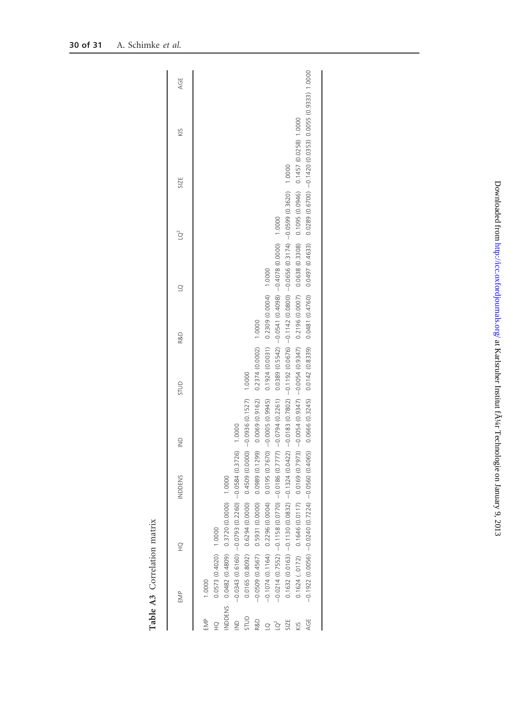<span id="page-29-0"></span>

|               | Table A3 Correlation matrix    |                                   |                                       |                                                         |      |                                                                                                                                        |                 |                                        |             |     |     |
|---------------|--------------------------------|-----------------------------------|---------------------------------------|---------------------------------------------------------|------|----------------------------------------------------------------------------------------------------------------------------------------|-----------------|----------------------------------------|-------------|-----|-----|
|               | EMP                            | $\frac{1}{2}$                     | <b>INDDENS</b>                        | $\geq$                                                  | STUD | R&D                                                                                                                                    | $\supseteq$     | $\tilde{Q}$                            | <b>SIZE</b> | KIS | AGE |
| E MP          | 0000                           |                                   |                                       |                                                         |      |                                                                                                                                        |                 |                                        |             |     |     |
| $\frac{1}{2}$ | 0.0573 (0.4020) 1.0000         |                                   |                                       |                                                         |      |                                                                                                                                        |                 |                                        |             |     |     |
|               | INDDENS 0.0482 (0.4809) 0.3720 |                                   | $0.0000$ 1.0000                       |                                                         |      |                                                                                                                                        |                 |                                        |             |     |     |
|               | $-0.0343$ (0.6160) $-0.0793$   |                                   | $(0.2260)$ - $(0.0584(0.3726)$ 1.0000 |                                                         |      |                                                                                                                                        |                 |                                        |             |     |     |
| STUD          | 0.0165 (0.8092) 0.6294         | 0.0000                            |                                       | $0.4509(0.0000) - 0.0936(0.1527)$ 1.0000                |      |                                                                                                                                        |                 |                                        |             |     |     |
| R&D           |                                | $-0.0509(0.4567)$ 0.5931 (0.0000) |                                       | $0.0989(0.1299) 0.0069(0.9162) 0.2374(0.000001) 1.0000$ |      |                                                                                                                                        |                 |                                        |             |     |     |
| $\supseteq$   | $-0.1074(0.1164)$ 0.2296       | 0.0004                            |                                       |                                                         |      | 0.0195 (0.7670) -0.0005 (0.9945) 0.1924 (0.0031) 0.2309 (0.004) 1.0000                                                                 |                 |                                        |             |     |     |
| $\bar{Q}^2$   | $-0.0214(0.7552) -0.1158$      |                                   |                                       |                                                         |      |                                                                                                                                        |                 |                                        |             |     |     |
| SIZE          | $0.1632(0.0163) -0.1130$       |                                   |                                       |                                                         |      | $(0.0832) -0.1324 (0.0422) -0.0183 (0.7802) -0.192 (0.0676) -0.1142 (10.3174) -0.0656 (0.3629 -0.0599 (0.3620) -0.0000$                |                 |                                        |             |     |     |
| KIS           | $0.1624(.0172)$ 0.1646         |                                   |                                       |                                                         |      | $(0.0117)$ 0.0169 $(0.7973)$ $-0.0054$ $(0.9347)$ $-0.0054$ $(0.9347)$ 0.2196 $(0.0007)$                                               | 0.0638 (0.3308) | 0.1095 (0.0946) 0.1457 (0.0258) 1.0000 |             |     |     |
| AGE           | $-0.1922$ (0.0056) $-0.0240$   |                                   |                                       |                                                         |      | 0.00010.1424) -0.0560 (0.40656 (0.3245) 0.0142 (0.8339) 0.0497 (0.4639) 0.24939 0.289 (0.6700) -0.1420 (0.0353) 0.0055 (0.9333) 0.0000 |                 |                                        |             |     |     |
|               |                                |                                   |                                       |                                                         |      |                                                                                                                                        |                 |                                        |             |     |     |
|               |                                |                                   |                                       |                                                         |      |                                                                                                                                        |                 |                                        |             |     |     |
|               |                                |                                   |                                       |                                                         |      |                                                                                                                                        |                 |                                        |             |     |     |